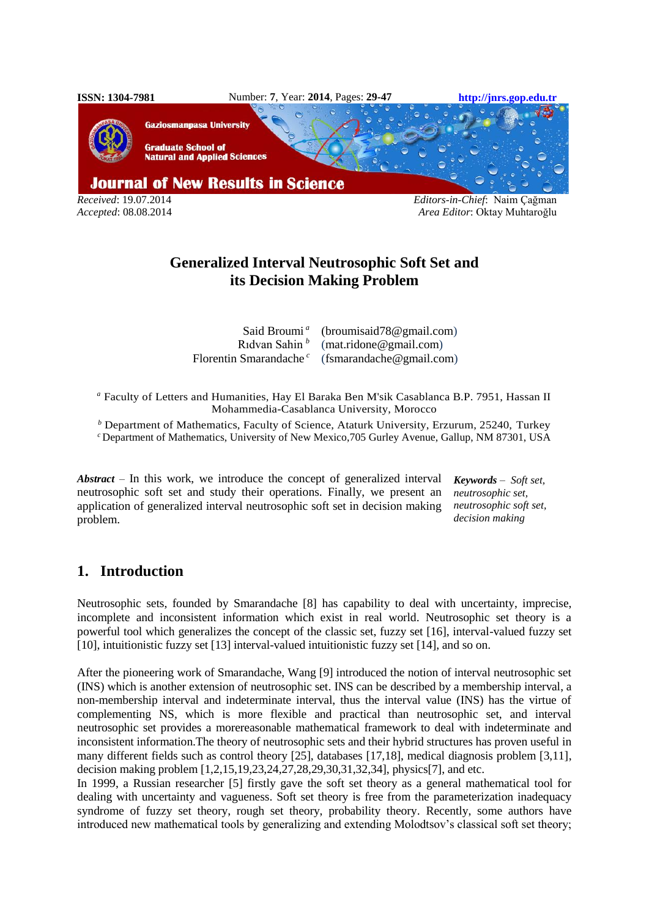

*Accepted*: 08.08.2014 *Area Editor*: Oktay Muhtaroğlu

# **Generalized Interval Neutrosophic Soft Set and its Decision Making Problem**

Said Broumi *<sup>a</sup>* Rıdvan Sahin *<sup>b</sup>* Florentin Smarandache *<sup>c</sup>* [\(broumisaid78@gmail.com\)](mailto:broumisaid78@gmail.com) (mat.ridone@gmail.com) [\(fsmarandache@gmail.com\)](mailto:fsmarandache@gmail.com)

*<sup>a</sup>* Faculty of Letters and Humanities, Hay El Baraka Ben M'sik Casablanca B.P. 7951, Hassan II Mohammedia-Casablanca University, Morocco

*<sup>b</sup>* Department of Mathematics, Faculty of Science, Ataturk University, Erzurum, 25240, Turkey

*<sup>c</sup>* Department of Mathematics, University of New Mexico,705 Gurley Avenue, Gallup, NM 87301, USA

*Abstract* – In this work, we introduce the concept of generalized interval neutrosophic soft set and study their operations. Finally, we present an application of generalized interval neutrosophic soft set in decision making problem.

*Keywords – Soft set, neutrosophic set, neutrosophic soft set, decision making*

# **1. Introduction**

Neutrosophic sets, founded by Smarandache [8] has capability to deal with uncertainty, imprecise, incomplete and inconsistent information which exist in real world. Neutrosophic set theory is a powerful tool which generalizes the concept of the classic set, fuzzy set [16], interval-valued fuzzy set [10], intuitionistic fuzzy set [13] interval-valued intuitionistic fuzzy set [14], and so on.

After the pioneering work of Smarandache, Wang [9] introduced the notion of interval neutrosophic set (INS) which is another extension of neutrosophic set. INS can be described by a membership interval, a non-membership interval and indeterminate interval, thus the interval value (INS) has the virtue of complementing NS, which is more flexible and practical than neutrosophic set, and interval neutrosophic set provides a morereasonable mathematical framework to deal with indeterminate and inconsistent information.The theory of neutrosophic sets and their hybrid structures has proven useful in many different fields such as control theory [25], databases [17,18], medical diagnosis problem [3,11], decision making problem [1,2,15,19,23,24,27,28,29,30,31,32,34], physics[7], and etc.

In 1999, a Russian researcher [5] firstly gave the soft set theory as a general mathematical tool for dealing with uncertainty and vagueness. Soft set theory is free from the parameterization inadequacy syndrome of fuzzy set theory, rough set theory, probability theory. Recently, some authors have introduced new mathematical tools by generalizing and extending Molodtsov's classical soft set theory;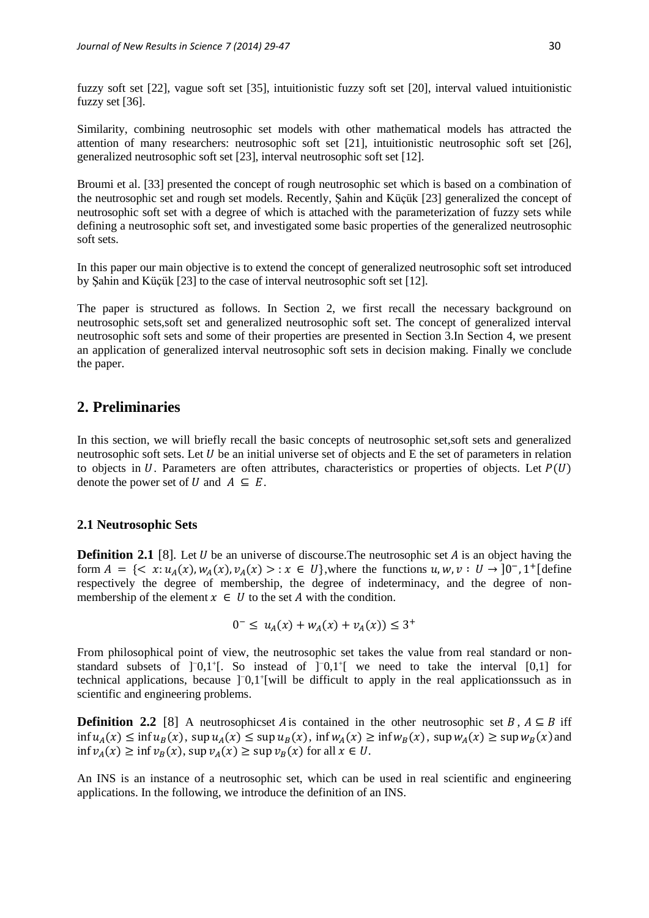fuzzy soft set [22], vague soft set [35], intuitionistic fuzzy soft set [20], interval valued intuitionistic fuzzy set [36].

Similarity, combining neutrosophic set models with other mathematical models has attracted the attention of many researchers: neutrosophic soft set [21], intuitionistic neutrosophic soft set [26], generalized neutrosophic soft set [23], interval neutrosophic soft set [12].

Broumi et al. [33] presented the concept of rough neutrosophic set which is based on a combination of the neutrosophic set and rough set models. Recently, Şahin and Küçük [23] generalized the concept of neutrosophic soft set with a degree of which is attached with the parameterization of fuzzy sets while defining a neutrosophic soft set, and investigated some basic properties of the generalized neutrosophic soft sets.

In this paper our main objective is to extend the concept of generalized neutrosophic soft set introduced by Şahin and Küçük [23] to the case of interval neutrosophic soft set [12].

The paper is structured as follows. In Section 2, we first recall the necessary background on neutrosophic sets,soft set and generalized neutrosophic soft set. The concept of generalized interval neutrosophic soft sets and some of their properties are presented in Section 3.In Section 4, we present an application of generalized interval neutrosophic soft sets in decision making. Finally we conclude the paper.

# **2. Preliminaries**

In this section, we will briefly recall the basic concepts of neutrosophic set,soft sets and generalized neutrosophic soft sets. Let  $U$  be an initial universe set of objects and  $E$  the set of parameters in relation to objects in U. Parameters are often attributes, characteristics or properties of objects. Let  $P(U)$ denote the power set of  $U$  and  $A \subseteq E$ .

#### **2.1 Neutrosophic Sets**

**Definition 2.1** [8]. Let U be an universe of discourse. The neutrosophic set A is an object having the form  $A = \{ \langle x : u_A(x), w_A(x), v_A(x) \rangle : x \in U \}$ , where the functions  $u, w, v : U \to ]0^-, 1^+$  [define respectively the degree of membership, the degree of indeterminacy, and the degree of nonmembership of the element  $x \in U$  to the set A with the condition.

$$
0^- \le u_A(x) + w_A(x) + v_A(x)) \le 3^+
$$

From philosophical point of view, the neutrosophic set takes the value from real standard or nonstandard subsets of ]<sup>−0</sup>,1<sup>+</sup>[. So instead of ]<sup>−0</sup>,1<sup>+</sup>[ we need to take the interval [0,1] for technical applications, because ]<sup>−0</sup>,1<sup>+</sup>[will be difficult to apply in the real applicationssuch as in scientific and engineering problems.

**Definition 2.2** [8] A neutrosophicset A is contained in the other neutrosophic set B,  $A \subseteq B$  iff  $\inf u_A(x) \leq \inf u_B(x)$ ,  $\sup u_A(x) \leq \sup u_B(x)$ ,  $\inf w_A(x) \geq \inf w_B(x)$ ,  $\sup w_A(x) \geq \sup w_B(x)$  and  $\inf v_A(x) \geq \inf v_B(x)$ ,  $\sup v_A(x) \geq \sup v_B(x)$  for all  $x \in U$ .

An INS is an instance of a neutrosophic set, which can be used in real scientific and engineering applications. In the following, we introduce the definition of an INS.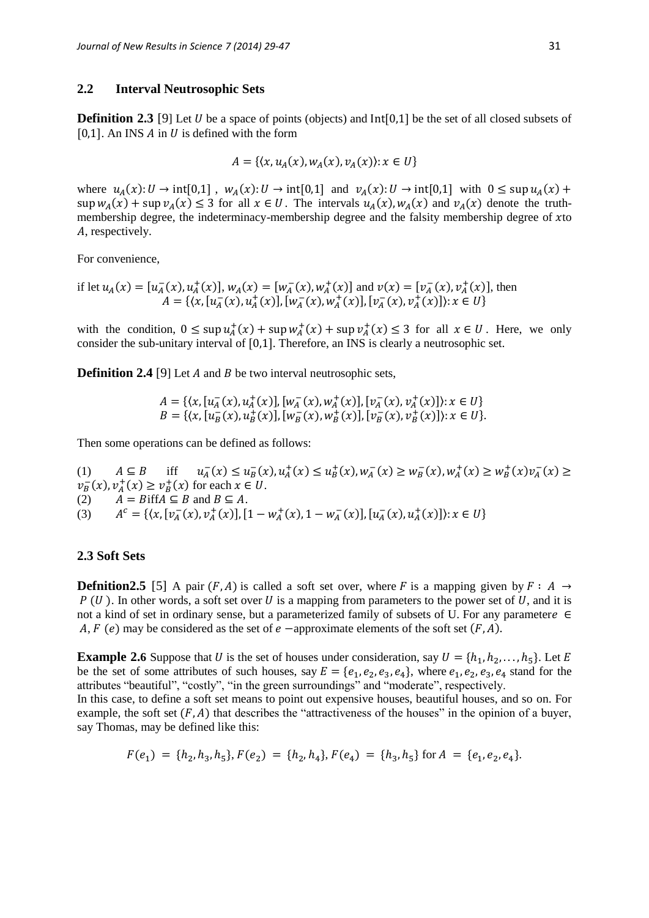#### **2.2 Interval Neutrosophic Sets**

**Definition 2.3** [9] Let *U* be a space of points (objects) and Int[0,1] be the set of all closed subsets of [0,1]. An INS  $\vec{A}$  in  $\vec{U}$  is defined with the form

$$
A = \{ (x, u_A(x), w_A(x), v_A(x)) : x \in U \}
$$

where  $u_A(x): U \to \text{int}[0,1]$ ,  $w_A(x): U \to \text{int}[0,1]$  and  $v_A(x): U \to \text{int}[0,1]$  with  $0 \leq \text{sup } u_A(x) +$  $\sup w_A(x) + \sup v_A(x) \leq 3$  for all  $x \in U$ . The intervals  $u_A(x), w_A(x)$  and  $v_A(x)$  denote the truthmembership degree, the indeterminacy-membership degree and the falsity membership degree of xto A, respectively.

For convenience,

if let 
$$
u_A(x) = [u_A^-(x), u_A^+(x)], w_A(x) = [w_A^-(x), w_A^+(x)]
$$
 and  $v(x) = [v_A^-(x), v_A^+(x)],$  then  
\n
$$
A = \{ \langle x, [u_A^-(x), u_A^+(x)], [w_A^-(x), w_A^+(x)], [v_A^-(x), v_A^+(x)] \rangle : x \in U \}
$$

with the condition,  $0 \leq \sup u_A^+(x) + \sup w_A^+(x) + \sup v_A^+(x) \leq 3$  for all  $x \in U$ . Here, we only consider the sub-unitary interval of [0,1]. Therefore, an INS is clearly a neutrosophic set.

**Definition 2.4** [9] Let *A* and *B* be two interval neutrosophic sets,

$$
A = \{ \langle x, [u_A^-(x), u_A^+(x)], [w_A^-(x), w_A^+(x)], [v_A^-(x), v_A^+(x)] \rangle : x \in U \}
$$
  

$$
B = \{ \langle x, [u_B^-(x), u_B^+(x)], [w_B^-(x), w_B^+(x)], [v_B^-(x), v_B^+(x)] \rangle : x \in U \}.
$$

Then some operations can be defined as follows:

(1)  $A \subseteq B$  iff  $\frac{1}{4}(x) \leq u_B^-(x), u_A^+(x) \leq u_B^+(x), w_A^-(x) \geq w_B^-(x), w_A^+(x) \geq w_B^+(x)v_A^-(x) \geq$  $v_B^-(x)$ ,  $v_A^+(x) \ge v_B^+(x)$  for each  $x \in U$ . (2)  $A = B$ iff $A \subseteq B$  and  $B \subseteq A$ . (3)  $c = \{ (x, [v_A^-(x), v_A^+(x)], [1 - w_A^+(x), 1 - w_A^-(x)], [u_A^-(x), u_A^+(x)] \} : x \in U \}$ 

#### **2.3 Soft Sets**

**Defnition2.5** [5] A pair  $(F, A)$  is called a soft set over, where F is a mapping given by  $F : A \rightarrow$  $P(U)$ . In other words, a soft set over U is a mapping from parameters to the power set of U, and it is not a kind of set in ordinary sense, but a parameterized family of subsets of U. For any parameter  $\epsilon$ A,  $F(e)$  may be considered as the set of  $e$  –approximate elements of the soft set  $(F, A)$ .

**Example 2.6** Suppose that U is the set of houses under consideration, say  $U = \{h_1, h_2, \ldots, h_5\}$ . Let E be the set of some attributes of such houses, say  $E = \{e_1, e_2, e_3, e_4\}$ , where  $e_1, e_2, e_3, e_4$  stand for the attributes "beautiful", "costly", "in the green surroundings" and "moderate", respectively.

In this case, to define a soft set means to point out expensive houses, beautiful houses, and so on. For example, the soft set  $(F, A)$  that describes the "attractiveness of the houses" in the opinion of a buyer, say Thomas, may be defined like this:

$$
F(e_1) = \{h_2, h_3, h_5\}, F(e_2) = \{h_2, h_4\}, F(e_4) = \{h_3, h_5\} \text{ for } A = \{e_1, e_2, e_4\}.
$$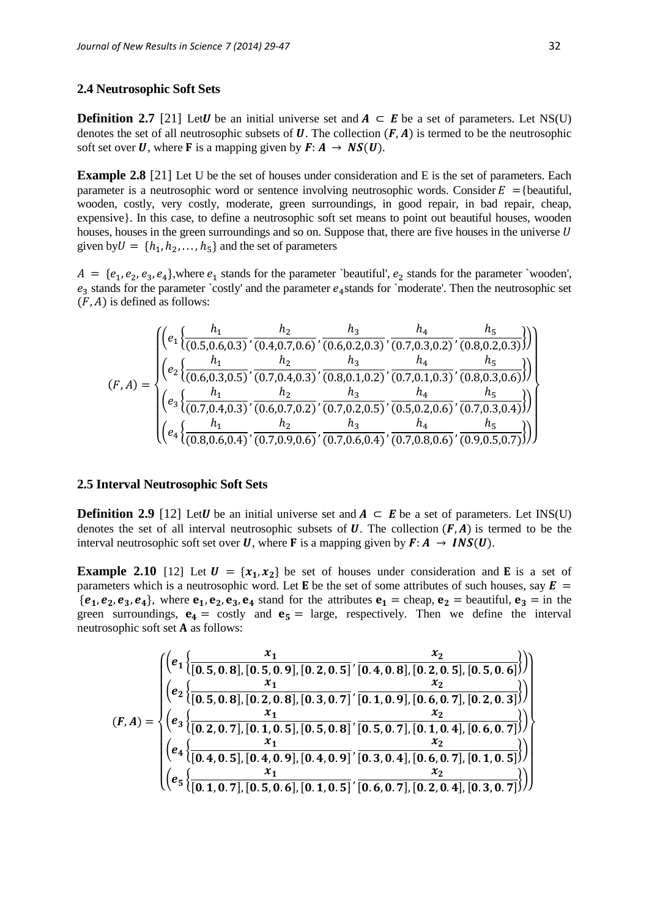#### **2.4 Neutrosophic Soft Sets**

**Definition 2.7** [21] Let U be an initial universe set and  $A \subseteq E$  be a set of parameters. Let NS(U) denotes the set of all neutrosophic subsets of  $U$ . The collection  $(F, A)$  is termed to be the neutrosophic soft set over U, where F is a mapping given by  $F: A \rightarrow NS(U)$ .

**Example 2.8** [21] Let U be the set of houses under consideration and E is the set of parameters. Each parameter is a neutrosophic word or sentence involving neutrosophic words. Consider  $E = \{$  beautiful, wooden, costly, very costly, moderate, green surroundings, in good repair, in bad repair, cheap, expensive}. In this case, to define a neutrosophic soft set means to point out beautiful houses, wooden houses, houses in the green surroundings and so on. Suppose that, there are five houses in the universe U given by  $U = \{h_1, h_2, \ldots, h_5\}$  and the set of parameters

 $A = \{e_1, e_2, e_3, e_4\}$ , where  $e_1$  stands for the parameter `beautiful',  $e_2$  stands for the parameter `wooden',  $e_3$  stands for the parameter `costly' and the parameter  $e_4$ stands for `moderate'. Then the neutrosophic set  $(F, A)$  is defined as follows:

$$
(F,A) = \begin{pmatrix} \left( e_1 \left\{ \frac{h_1}{(0.5,0.6,0.3)}, \frac{h_2}{(0.4,0.7,0.6)}, \frac{h_3}{(0.6,0.2,0.3)}, \frac{h_4}{(0.7,0.3,0.2)}, \frac{h_5}{(0.8,0.2,0.3)} \right) \right) \\ \left( e_2 \left\{ \frac{h_1}{(0.6,0.3,0.5)}, \frac{h_2}{(0.7,0.4,0.3)}, \frac{h_3}{(0.8,0.1,0.2)}, \frac{h_4}{(0.7,0.1,0.3)}, \frac{h_5}{(0.8,0.3,0.6)} \right) \right) \\ \left( e_3 \left\{ \frac{h_1}{(0.7,0.4,0.3)}, \frac{h_2}{(0.6,0.7,0.2)}, \frac{h_3}{(0.7,0.2,0.5)}, \frac{h_4}{(0.5,0.2,0.6)}, \frac{h_5}{(0.7,0.3,0.4)} \right) \right\} \\ \left( e_4 \left\{ \frac{h_1}{(0.8,0.6,0.4)}, \frac{h_2}{(0.7,0.9,0.6)}, \frac{h_3}{(0.7,0.6,0.4)}, \frac{h_4}{(0.7,0.8,0.6)}, \frac{h_5}{(0.9,0.5,0.7)} \right) \right) \right)
$$

#### **2.5 Interval Neutrosophic Soft Sets**

**Definition 2.9** [12] Let U be an initial universe set and  $A \subseteq E$  be a set of parameters. Let INS(U) denotes the set of all interval neutrosophic subsets of U. The collection  $(F, A)$  is termed to be the interval neutrosophic soft set over U, where F is a mapping given by  $F: A \rightarrow INS(U)$ .

**Example 2.10** [12] Let  $U = \{x_1, x_2\}$  be set of houses under consideration and **E** is a set of parameters which is a neutrosophic word. Let **E** be the set of some attributes of such houses, say  $\mathbf{E}$  =  ${e_1, e_2, e_3, e_4}$ , where  $e_1, e_2, e_3, e_4$  stand for the attributes  $e_1$  = cheap,  $e_2$  = beautiful,  $e_3$  = in the green surroundings,  $\mathbf{e}_4 = \text{costly}$  and  $\mathbf{e}_5 = \text{large}$ , respectively. Then we define the interval neutrosophic soft set  $A$  as follows:

$$
(F,A)=\begin{cases} \left(e_1\left\{\frac{x_1}{[0.5,0.8],[0.5,0.9],[0.2,0.5]}\cdot\frac{x_2}{[0.4,0.8],[0.2,0.5],[0.5,0.6]}\right)\right)\\ \left(e_2\left\{\frac{x_1}{[0.5,0.8],[0.2,0.8],[0.3,0.7]}\cdot\frac{x_2}{[0.1,0.9],[0.6,0.7],[0.2,0.3]}\right)\right)\\ \left(e_3\left\{\frac{x_1}{[0.2,0.7],[0.1,0.5],[0.5,0.8]}\cdot\frac{x_2}{[0.5,0.7],[0.1,0.4],[0.6,0.7]}\right)\right)\\ \left(e_4\left\{\frac{x_1}{[0.4,0.5],[0.4,0.9],[0.4,0.9]}\cdot\frac{x_2}{[0.3,0.4],[0.6,0.7],[0.1,0.5]}\right)\right\}\\ \left(e_5\left\{\frac{x_1}{[0.1,0.7],[0.5,0.6],[0.1,0.5]}\cdot\frac{x_2}{[0.6,0.7],[0.2,0.4],[0.3,0.7]}\right)\right)\end{cases}
$$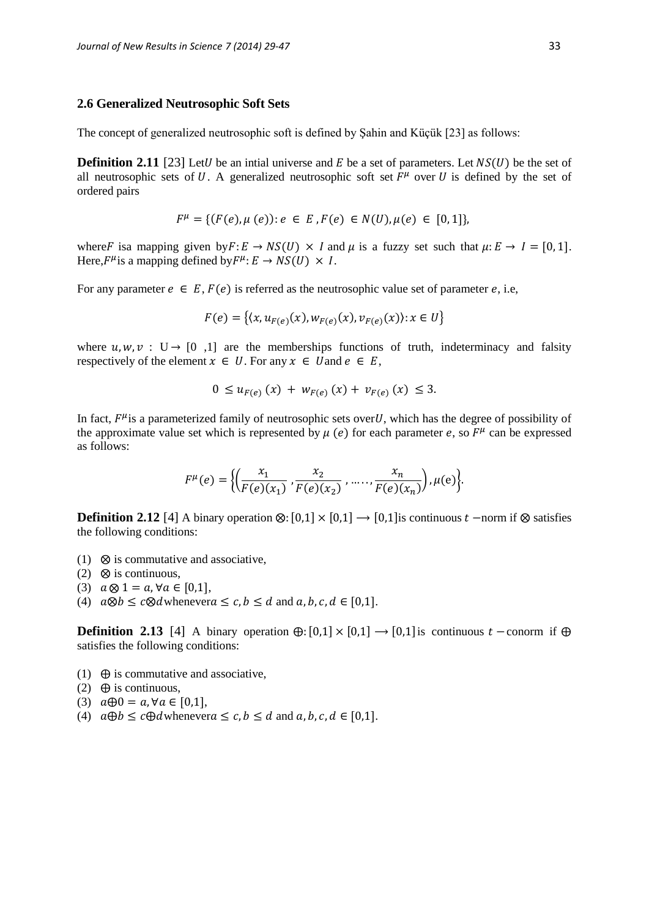#### **2.6 Generalized Neutrosophic Soft Sets**

The concept of generalized neutrosophic soft is defined by Şahin and Küçük [23] as follows:

**Definition 2.11** [23] Let U be an intial universe and E be a set of parameters. Let  $NS(U)$  be the set of all neutrosophic sets of U. A generalized neutrosophic soft set  $F^{\mu}$  over U is defined by the set of ordered pairs

$$
F^{\mu} = \{ (F(e), \mu(e)) : e \in E, F(e) \in N(U), \mu(e) \in [0, 1] \},\
$$

where F is a mapping given by  $F: E \to NS(U) \times I$  and  $\mu$  is a fuzzy set such that  $\mu: E \to I = [0, 1]$ . Here,  $F^{\mu}$  is a mapping defined by  $F^{\mu}$ :  $E \rightarrow NS(U) \times I$ .

For any parameter  $e \in E$ ,  $F(e)$  is referred as the neutrosophic value set of parameter e, i.e,

$$
F(e) = \{(x, u_{F(e)}(x), w_{F(e)}(x), v_{F(e)}(x)) : x \in U\}
$$

where  $u, w, v : U \rightarrow [0, 1]$  are the memberships functions of truth, indeterminacy and falsity respectively of the element  $x \in U$ . For any  $x \in U$  and  $e \in E$ ,

$$
0 \leq u_{F(e)}(x) + w_{F(e)}(x) + v_{F(e)}(x) \leq 3.
$$

In fact,  $F^{\mu}$  is a parameterized family of neutrosophic sets over U, which has the degree of possibility of the approximate value set which is represented by  $\mu$  (e) for each parameter e, so  $F^{\mu}$  can be expressed as follows:

$$
F^{\mu}(e) = \Big\{ \Big( \frac{x_1}{F(e)(x_1)}, \frac{x_2}{F(e)(x_2)}, \dots, \frac{x_n}{F(e)(x_n)} \Big), \mu(e) \Big\}.
$$

**Definition 2.12** [4] A binary operation ⊗:  $[0,1] \times [0,1] \rightarrow [0,1]$  is continuous  $t$  –norm if ⊗ satisfies the following conditions:

- (1)  $\otimes$  is commutative and associative.
- (2)  $\otimes$  is continuous,
- (3)  $a \otimes 1 = a, \forall a \in [0,1],$
- (4)  $a \otimes b \leq c \otimes d$  whenever  $a \leq c, b \leq d$  and  $a, b, c, d \in [0,1]$ .

**Definition 2.13** [4] A binary operation  $\oplus$ : [0,1]  $\times$  [0,1]  $\to$  [0,1] is continuous  $t$  – conorm if  $\oplus$ satisfies the following conditions:

- (1)  $\oplus$  is commutative and associative,
- (2)  $\oplus$  is continuous,
- (3)  $a \oplus 0 = a, \forall a \in [0,1],$
- (4)  $a \oplus b \leq c \oplus d$  whenever  $a \leq c, b \leq d$  and  $a, b, c, d \in [0,1]$ .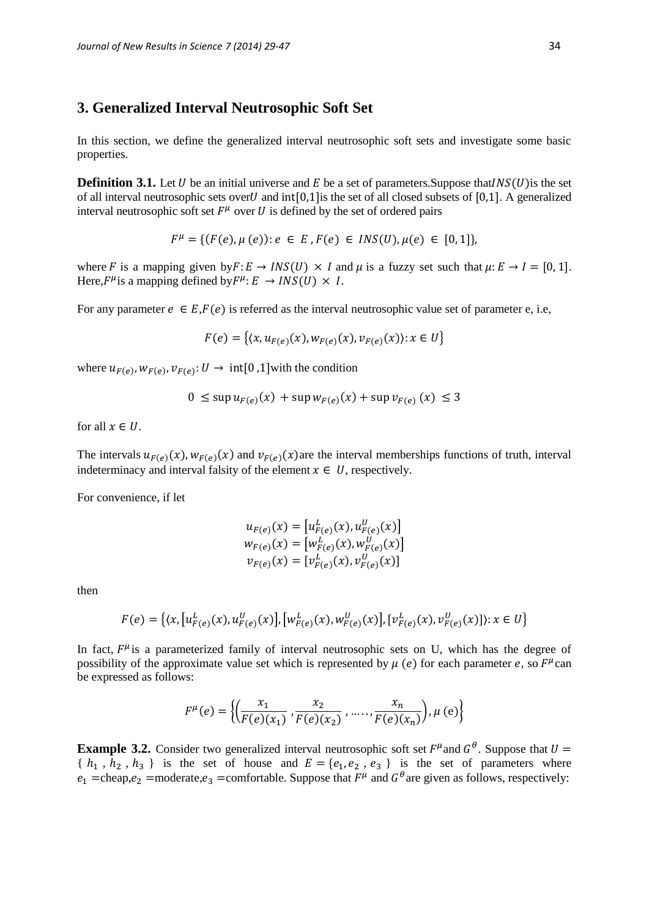### **3. Generalized Interval Neutrosophic Soft Set**

In this section, we define the generalized interval neutrosophic soft sets and investigate some basic properties.

**Definition 3.1.** Let U be an initial universe and E be a set of parameters. Suppose that  $INS(U)$  is the set of all interval neutrosophic sets over U and int [0,1] is the set of all closed subsets of [0,1]. A generalized interval neutrosophic soft set  $F^{\mu}$  over U is defined by the set of ordered pairs

$$
F^{\mu} = \{ (F(e), \mu(e)) : e \in E, F(e) \in INS(U), \mu(e) \in [0, 1] \}
$$

where F is a mapping given by  $F: E \to INS(U) \times I$  and  $\mu$  is a fuzzy set such that  $\mu: E \to I = [0, 1]$ . Here,  $F^{\mu}$  is a mapping defined by  $F^{\mu}$ :  $E \rightarrow INS(U) \times I$ .

For any parameter  $e \in E$ ,  $F(e)$  is referred as the interval neutrosophic value set of parameter e, i.e,

$$
F(e) = \{ (x, u_{F(e)}(x), w_{F(e)}(x), v_{F(e)}(x)) : x \in U \}
$$

where  $u_{F(e)}$ ,  $w_{F(e)}$ ,  $v_{F(e)}$ :  $U \rightarrow \text{int}[0,1]$  with the condition

$$
0 \le \sup u_{F(e)}(x) + \sup w_{F(e)}(x) + \sup v_{F(e)}(x) \le 3
$$

for all  $x \in U$ .

The intervals  $u_{F(e)}(x)$ ,  $w_{F(e)}(x)$  and  $v_{F(e)}(x)$  are the interval memberships functions of truth, interval indeterminacy and interval falsity of the element  $x \in U$ , respectively.

For convenience, if let

$$
u_{F(e)}(x) = [u_{F(e)}^L(x), u_{F(e)}^U(x)]
$$
  
\n
$$
w_{F(e)}(x) = [w_{F(e)}^L(x), w_{F(e)}^U(x)]
$$
  
\n
$$
v_{F(e)}(x) = [v_{F(e)}^L(x), v_{F(e)}^U(x)]
$$

then

$$
F(e) = \{ (x, [u_{F(e)}^L(x), u_{F(e)}^U(x)], [w_{F(e)}^L(x), w_{F(e)}^U(x)], [v_{F(e)}^L(x), v_{F(e)}^U(x)] \} : x \in U \}
$$

In fact,  $F^{\mu}$  is a parameterized family of interval neutrosophic sets on U, which has the degree of possibility of the approximate value set which is represented by  $\mu$  (e) for each parameter e, so  $F^{\mu}$ can be expressed as follows:

$$
F^{\mu}(e) = \left\{ \left( \frac{x_1}{F(e)(x_1)}, \frac{x_2}{F(e)(x_2)}, \dots, \frac{x_n}{F(e)(x_n)} \right), \mu(e) \right\}
$$

**Example 3.2.** Consider two generalized interval neutrosophic soft set  $F^{\mu}$  and  $G^{\theta}$ . Suppose that  $U =$  $\{h_1, h_2, h_3\}$  is the set of house and  $E = \{e_1, e_2, e_3\}$  is the set of parameters where  $e_1$  =cheap, $e_2$  =moderate, $e_3$  =comfortable. Suppose that  $F^{\mu}$  and  $G^{\theta}$  are given as follows, respectively: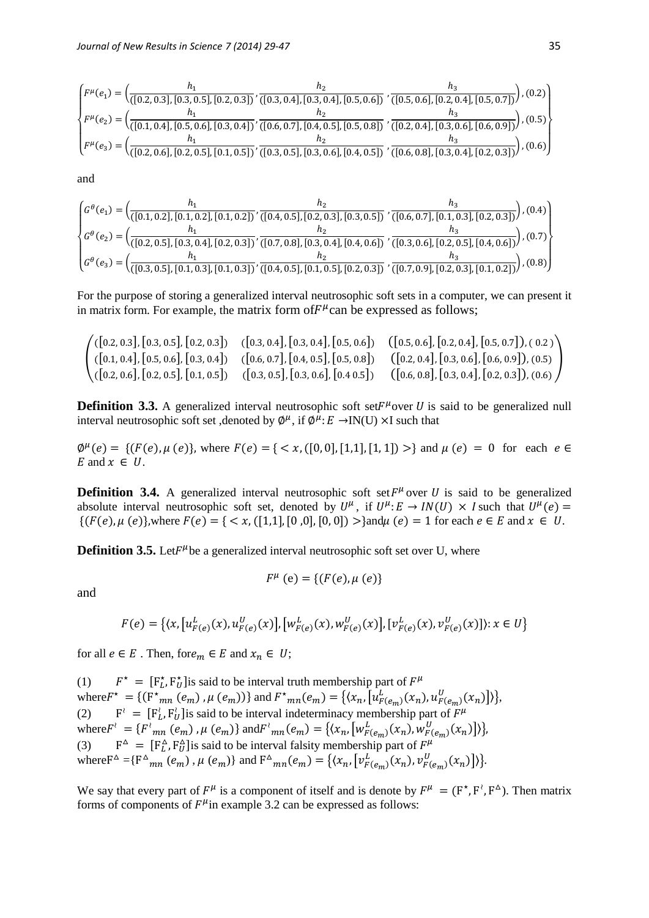$$
\begin{cases}\nF^{\mu}(e_1) = \left(\frac{h_1}{([0.2, 0.3], [0.3, 0.5], [0.2, 0.3])}, \frac{h_2}{([0.3, 0.4], [0.3, 0.4], [0.5, 0.6])}, \frac{h_3}{([0.5, 0.6], [0.2, 0.4], [0.5, 0.7])}\right), (0.2) \\
F^{\mu}(e_2) = \left(\frac{h_1}{([0.1, 0.4], [0.5, 0.6], [0.3, 0.4])}, \frac{h_2}{([0.6, 0.7], [0.4, 0.5], [0.5, 0.8])}, \frac{h_3}{([0.2, 0.4], [0.3, 0.6], [0.6, 0.9])}\right), (0.5) \\
F^{\mu}(e_3) = \left(\frac{h_1}{([0.2, 0.6], [0.2, 0.5], [0.1, 0.5])}, \frac{h_2}{([0.3, 0.5], [0.3, 0.6], [0.4, 0.5])}, \frac{h_3}{([0.6, 0.8], [0.3, 0.4], [0.2, 0.3])}\right), (0.6)\n\end{cases}
$$

and

$$
\begin{cases} G^{\theta}(e_1) = \left( \frac{h_1}{([0.1, 0.2], [0.1, 0.2], [0.1, 0.2])}, \frac{h_2}{([0.4, 0.5], [0.2, 0.3], [0.3, 0.5])}, \frac{h_3}{([0.6, 0.7], [0.1, 0.3], [0.2, 0.3])} \right), (0.4) \\ G^{\theta}(e_2) = \left( \frac{h_1}{([0.2, 0.5], [0.3, 0.4], [0.2, 0.3])}, \frac{h_2}{([0.7, 0.8], [0.3, 0.4], [0.4, 0.6])}, \frac{h_3}{([0.3, 0.6], [0.2, 0.5], [0.4, 0.6])} \right), (0.7) \\ G^{\theta}(e_3) = \left( \frac{h_1}{([0.3, 0.5], [0.1, 0.3], [0.1, 0.3])}, \frac{h_2}{([0.4, 0.5], [0.1, 0.5], [0.2, 0.3])}, \frac{h_3}{([0.7, 0.9], [0.2, 0.3], [0.1, 0.2])} \right), (0.8) \end{cases}
$$

For the purpose of storing a generalized interval neutrosophic soft sets in a computer, we can present it in matrix form. For example, the matrix form of  $F^{\mu}$  can be expressed as follows;

$$
\begin{pmatrix}\n([0.2, 0.3], [0.3, 0.5], [0.2, 0.3]) & ([0.3, 0.4], [0.3, 0.4], [0.5, 0.6]) & ([0.5, 0.6], [0.2, 0.4], [0.5, 0.7]), (0.2) \\
([0.1, 0.4], [0.5, 0.6], [0.3, 0.4]) & ([0.6, 0.7], [0.4, 0.5], [0.5, 0.8]) & ([0.2, 0.4], [0.3, 0.6], [0.6, 0.9]), (0.5) \\
([0.2, 0.6], [0.2, 0.5], [0.1, 0.5]) & ([0.3, 0.5], [0.3, 0.6], [0.4, 0.5]) & ([0.6, 0.8], [0.3, 0.4], [0.2, 0.3]), (0.6)\n\end{pmatrix}
$$

**Definition 3.3.** A generalized interval neutrosophic soft set $F^{\mu}$ over U is said to be generalized null interval neutrosophic soft set, denoted by  $\phi^{\mu}$ , if  $\phi^{\bar{\mu}}$ :  $E \rightarrow$ IN(U) ×I such that

 $\phi^{\mu}(e) = \{ (F(e), \mu(e)), \text{ where } F(e) = \{ \langle x, ([0,0], [1,1], [1,1]) \rangle \} \text{ and } \mu(e) = 0 \text{ for each } e \in \mathbb{R} \}$ E and  $x \in U$ .

**Definition 3.4.** A generalized interval neutrosophic soft set  $F^{\mu}$  over U is said to be generalized absolute interval neutrosophic soft set, denoted by  $U^{\mu}$ , if  $U^{\mu}$ :  $E \rightarrow IN(U) \times I$  such that  $U^{\mu}(e)$  =  $\{(F(e), \mu(e)\}\)$ , where  $F(e) = \{ \langle x, ([1,1], [0, 0], [0, 0]) \rangle \}$  and  $\mu(e) = 1$  for each  $e \in E$  and  $x \in U$ .

**Definition 3.5.** Let $F^{\mu}$ be a generalized interval neutrosophic soft set over U, where

$$
F^{\mu} (e) = \{ (F(e), \mu (e) \}
$$

and

$$
F(e) = \{ (x, [u_{F(e)}^L(x), u_{F(e)}^U(x)], [w_{F(e)}^L(x), w_{F(e)}^U(x)], [v_{F(e)}^L(x), v_{F(e)}^U(x)] \} : x \in U \}
$$

for all  $e \in E$ . Then, for  $e_m \in E$  and  $x_n \in U$ ;

(1)  $\mathbf{r} = [\mathbf{F}_L^{\star}, \mathbf{F}_U^{\star}]$  is said to be interval truth membership part of  $F^{\mu}$ where  $F^* = \{ (F^*_{mn}(e_m), \mu(e_m)) \}$  and  $F^*_{mn}(e_m) = \{ (x_n, [u_{F(e_m)}^L(x_n), u_{F(e_m)}^U(x_n)] ) \}$ ,  $(2)$  $\mathcal{F} = [\mathbf{F}_L^{\lambda}, \mathbf{F}_U^{\lambda}]$  is said to be interval indeterminacy membership part of  $F^{\mu}$ where  $F' = \{F'_{mn}(e_m), \mu(e_m)\}$  and  $F'_{mn}(e_m) = \{(x_n, [w_{F(e_m)}^L(x_n), w_{F(e_m)}^U(x_n)]\}$ ,  $(3)$  $\Delta$  = [F<sub>L</sub>', F<sub>U</sub>'<sub>U</sub>'] is said to be interval falsity membership part of  $F^{\mu}$ where  $F^{\Delta} = \{ F^{\Delta}_{mn} (e_m)$ ,  $\mu (e_m) \}$  and  $F^{\Delta}_{mn}(e_m) = \{ (x_n, [v_{F(e_m)}^L(x_n), v_{F(e_m)}^U(x_n)] ) \}$ .

We say that every part of  $F^{\mu}$  is a component of itself and is denote by  $F^{\mu} = (F^*, F^{\lambda}, F^{\lambda})$ . Then matrix forms of components of  $F^{\mu}$ in example 3.2 can be expressed as follows: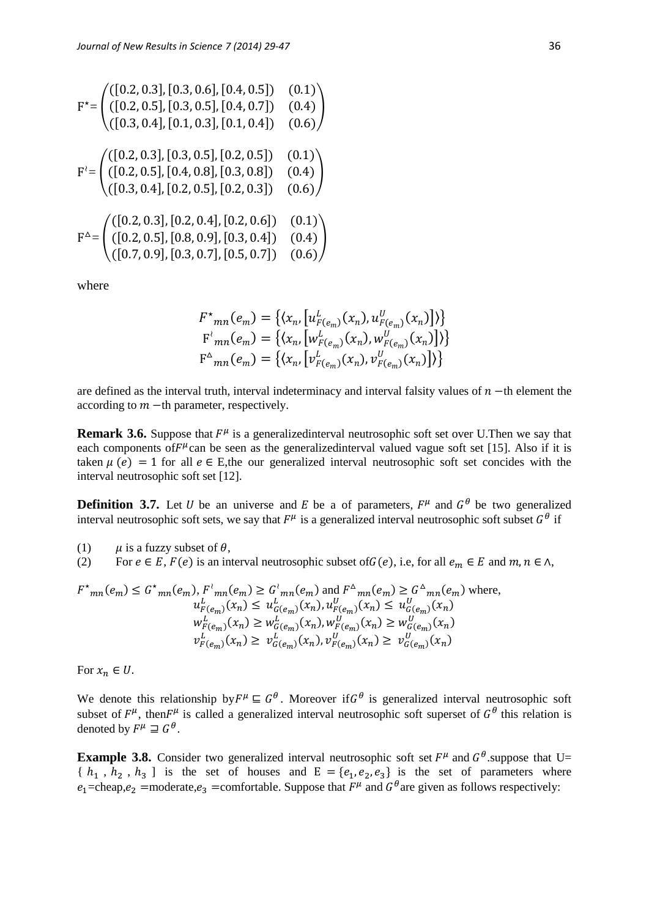$$
F^* = \begin{pmatrix} ([0.2, 0.3], [0.3, 0.6], [0.4, 0.5]) & (0.1) \\ ([0.2, 0.5], [0.3, 0.5], [0.4, 0.7]) & (0.4) \\ ([0.3, 0.4], [0.1, 0.3], [0.1, 0.4]) & (0.6) \end{pmatrix}
$$
  
\n
$$
F^* = \begin{pmatrix} ([0.2, 0.3], [0.3, 0.5], [0.2, 0.5]) & (0.1) \\ ([0.2, 0.5], [0.4, 0.8], [0.3, 0.8]) & (0.4) \\ ([0.3, 0.4], [0.2, 0.5], [0.2, 0.3]) & (0.6) \end{pmatrix}
$$
  
\n
$$
F^{\Delta} = \begin{pmatrix} ([0.2, 0.3], [0.2, 0.4], [0.2, 0.6]) & (0.1) \\ ([0.2, 0.5], [0.8, 0.9], [0.3, 0.4]) & (0.4) \\ ([0.7, 0.9], [0.3, 0.7], [0.5, 0.7]) & (0.6) \end{pmatrix}
$$

where

$$
F^{\star}_{mn}(e_m) = \{ \langle x_n, [u_{F(e_m)}^L(x_n), u_{F(e_m)}^U(x_n)] \rangle \}
$$
  

$$
F^{\star}_{mn}(e_m) = \{ \langle x_n, [w_{F(e_m)}^L(x_n), w_{F(e_m)}^U(x_n)] \rangle \}
$$
  

$$
F^{\Delta}_{mn}(e_m) = \{ \langle x_n, [v_{F(e_m)}^L(x_n), v_{F(e_m)}^U(x_n)] \rangle \}
$$

are defined as the interval truth, interval indeterminacy and interval falsity values of  $n -$ th element the according to  $m$  –th parameter, respectively.

**Remark 3.6.** Suppose that  $F^{\mu}$  is a generalizedinterval neutrosophic soft set over U.Then we say that each components of  $F^{\mu}$  can be seen as the generalized interval valued vague soft set [15]. Also if it is taken  $\mu(e) = 1$  for all  $e \in E$ , the our generalized interval neutrosophic soft set concides with the interval neutrosophic soft set [12].

**Definition 3.7.** Let U be an universe and E be a of parameters,  $F^{\mu}$  and  $G^{\theta}$  be two generalized interval neutrosophic soft sets, we say that  $F^{\mu}$  is a generalized interval neutrosophic soft subset  $G^{\theta}$  if

(1)  $\mu$  is a fuzzy subset of  $\theta$ ,

(2) For  $e \in E$ ,  $F(e)$  is an interval neutrosophic subset of  $G(e)$ , i.e, for all  $e_m \in E$  and  $m, n \in \Lambda$ ,

$$
F^{\star}_{mn}(e_m) \leq G^{\star}_{mn}(e_m), F^{\star}_{mn}(e_m) \geq G^{\star}_{mn}(e_m) \text{ and } F^{\Delta}_{mn}(e_m) \geq G^{\Delta}_{mn}(e_m) \text{ where,}
$$
  
\n
$$
u_{F(e_m)}^L(x_n) \leq u_{G(e_m)}^L(x_n), u_{F(e_m)}^U(x_n) \leq u_{G(e_m)}^U(x_n)
$$
  
\n
$$
w_{F(e_m)}^L(x_n) \geq w_{G(e_m)}^L(x_n), w_{F(e_m)}^U(x_n) \geq w_{G(e_m)}^U(x_n)
$$
  
\n
$$
v_{F(e_m)}^L(x_n) \geq v_{G(e_m)}^L(x_n), v_{F(e_m)}^U(x_n) \geq v_{G(e_m)}^U(x_n)
$$

For  $x_n \in U$ .

We denote this relationship by  $F^{\mu} \subseteq G^{\theta}$ . Moreover if  $G^{\theta}$  is generalized interval neutrosophic soft subset of  $F^{\mu}$ , then  $F^{\mu}$  is called a generalized interval neutrosophic soft superset of  $G^{\theta}$  this relation is denoted by  $F^{\mu} \supseteq G^{\theta}$ .

**Example 3.8.** Consider two generalized interval neutrosophic soft set  $F^{\mu}$  and  $G^{\theta}$  suppose that U=  $\{h_1, h_2, h_3\}$  is the set of houses and  $E = \{e_1, e_2, e_3\}$  is the set of parameters where  $e_1$ =cheap, $e_2$  =moderate, $e_3$  =comfortable. Suppose that  $F^{\mu}$  and  $G^{\theta}$  are given as follows respectively: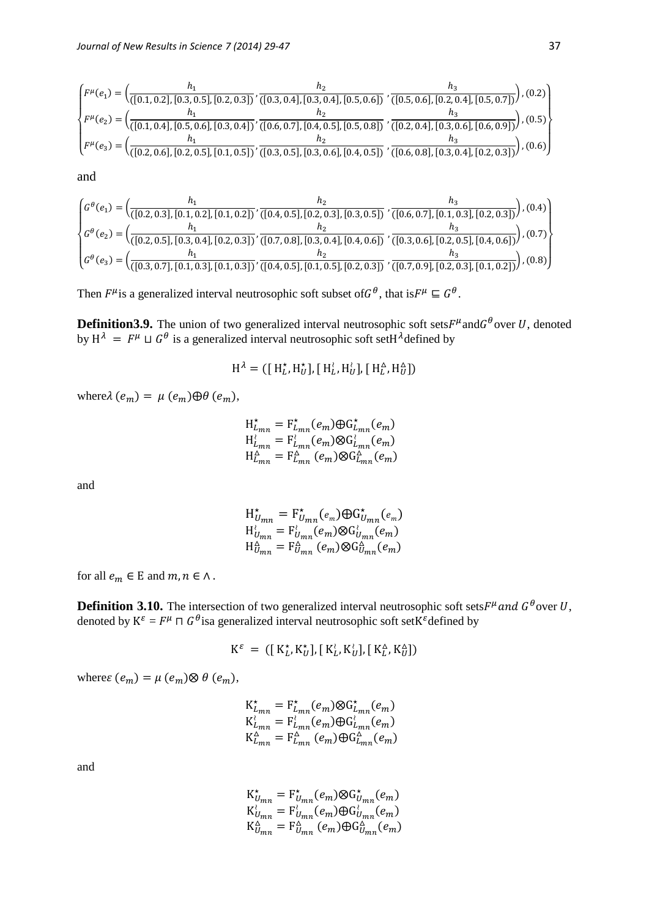$$
\begin{cases}\nF^{\mu}(e_1) = \left(\frac{h_1}{([0.1, 0.2], [0.3, 0.5], [0.2, 0.3])}, \frac{h_2}{([0.3, 0.4], [0.3, 0.4], [0.5, 0.6])}, \frac{h_3}{([0.5, 0.6], [0.2, 0.4], [0.5, 0.7])}\right), (0.2) \\
F^{\mu}(e_2) = \left(\frac{h_1}{([0.1, 0.4], [0.5, 0.6], [0.3, 0.4])}, \frac{h_2}{([0.6, 0.7], [0.4, 0.5], [0.5, 0.8])}, \frac{h_3}{([0.2, 0.4], [0.3, 0.6], [0.6, 0.9])}\right), (0.5) \\
F^{\mu}(e_3) = \left(\frac{h_1}{([0.2, 0.6], [0.2, 0.5], [0.1, 0.5])}, \frac{h_2}{([0.3, 0.5], [0.3, 0.6], [0.4, 0.5])}, \frac{h_3}{([0.6, 0.8], [0.3, 0.4], [0.2, 0.3])}\right), (0.6)\n\end{cases}
$$

and

$$
\begin{cases} G^{\theta}(e_1) = \left( \frac{h_1}{([0.2, 0.3], [0.1, 0.2], [0.1, 0.2])}, \frac{h_2}{([0.4, 0.5], [0.2, 0.3], [0.3, 0.5])}, \frac{h_3}{([0.6, 0.7], [0.1, 0.3], [0.2, 0.3])} \right), (0.4) \\ G^{\theta}(e_2) = \left( \frac{h_1}{([0.2, 0.5], [0.3, 0.4], [0.2, 0.3])}, \frac{h_2}{([0.7, 0.8], [0.3, 0.4], [0.4, 0.6])}, \frac{h_3}{([0.3, 0.6], [0.2, 0.5], [0.4, 0.6])} \right), (0.7) \\ G^{\theta}(e_3) = \left( \frac{h_1}{([0.3, 0.7], [0.1, 0.3], [0.1, 0.3])}, \frac{h_2}{([0.4, 0.5], [0.1, 0.5], [0.2, 0.3])}, \frac{h_3}{([0.7, 0.9], [0.2, 0.3], [0.1, 0.2])} \right), (0.8) \end{cases}
$$

Then  $F^{\mu}$  is a generalized interval neutrosophic soft subset of  $G^{\theta}$ , that is  $F^{\mu} \subseteq G^{\theta}$ .

**Definition3.9.** The union of two generalized interval neutrosophic soft sets  $F^{\mu}$  and  $G^{\theta}$  over U, denoted by  $H^{\lambda} = F^{\mu} \sqcup G^{\theta}$  is a generalized interval neutrosophic soft set H $^{\lambda}$ defined by

$$
\mathrm{H}^{\lambda} = ([\mathrm{H}^{\star}_{L}, \mathrm{H}^{\star}_{U}], [\mathrm{H}^{\lambda}_{L}, \mathrm{H}^{\lambda}_{U}], [\mathrm{H}^{\Delta}_{L}, \mathrm{H}^{\Delta}_{U}])
$$

where  $\lambda$  ( $e_m$ ) =  $\mu$  ( $e_m$ ) $\oplus$   $\theta$  ( $e_m$ ),

$$
H^{\star}_{L_{mn}} = F^{\star}_{L_{mn}}(e_m) \oplus G^{\star}_{L_{mn}}(e_m)
$$
  
\n
$$
H^{\star}_{L_{mn}} = F^{\star}_{L_{mn}}(e_m) \otimes G^{\star}_{L_{mn}}(e_m)
$$
  
\n
$$
H^{\star}_{L_{mn}} = F^{\star}_{L_{mn}}(e_m) \otimes G^{\star}_{L_{mn}}(e_m)
$$

and

$$
H_{U_{mn}}^{\star} = F_{U_{mn}}^{\star} (e_m) \oplus G_{U_{mn}}^{\star} (e_m)
$$
  
\n
$$
H_{U_{mn}}^{\star} = F_{U_{mn}}^{\star} (e_m) \otimes G_{U_{mn}}^{\star} (e_m)
$$
  
\n
$$
H_{U_{mn}}^{\Delta} = F_{U_{mn}}^{\Delta} (e_m) \otimes G_{U_{mn}}^{\Delta} (e_m)
$$

for all  $e_m \in E$  and  $m, n \in \Lambda$ .

**Definition 3.10.** The intersection of two generalized interval neutrosophic soft sets  $F^{\mu}$  and  $G^{\theta}$  over U, denoted by  $K^{\varepsilon} = F^{\mu} \cap G^{\theta}$  is a generalized interval neutrosophic soft set  $K^{\varepsilon}$  defined by

$$
\mathbf{K}^{\varepsilon} \;=\; \big(\big[\;\mathbf{K}^{\star}_{L}, \mathbf{K}^{\star}_{U}\big], \big[\;\mathbf{K}^{\wr}_{L}, \mathbf{K}^{\wr}_{U}\big], \big[\;\mathbf{K}^{\Delta}_{L}, \mathbf{K}^{\Delta}_{U}\big]\big)
$$

where  $(e_m) = \mu(e_m) \otimes \theta(e_m)$ ,

$$
\begin{aligned} \mathbf{K}^{\star}_{L_{mn}} &= \mathbf{F}^{\star}_{L_{mn}}(e_m) \otimes \mathbf{G}^{\star}_{L_{mn}}(e_m) \\ \mathbf{K}^{\star}_{L_{mn}} &= \mathbf{F}^{\star}_{L_{mn}}(e_m) \oplus \mathbf{G}^{\star}_{L_{mn}}(e_m) \\ \mathbf{K}^{\Delta}_{L_{mn}} &= \mathbf{F}^{\Delta}_{L_{mn}}(e_m) \oplus \mathbf{G}^{\Delta}_{L_{mn}}(e_m) \end{aligned}
$$

and

$$
\begin{array}{l} \mathbf{K}^{\star}_{U_{mn}} = \mathbf{F}^{\star}_{U_{mn}}(e_m) \otimes \mathbf{G}^{\star}_{U_{mn}}(e_m) \\ \mathbf{K}^{\star}_{U_{mn}} = \mathbf{F}^{\star}_{U_{mn}}(e_m) \oplus \mathbf{G}^{\star}_{U_{mn}}(e_m) \\ \mathbf{K}^{\Delta}_{U_{mn}} = \mathbf{F}^{\Delta}_{U_{mn}}(e_m) \oplus \mathbf{G}^{\Delta}_{U_{mn}}(e_m) \end{array}
$$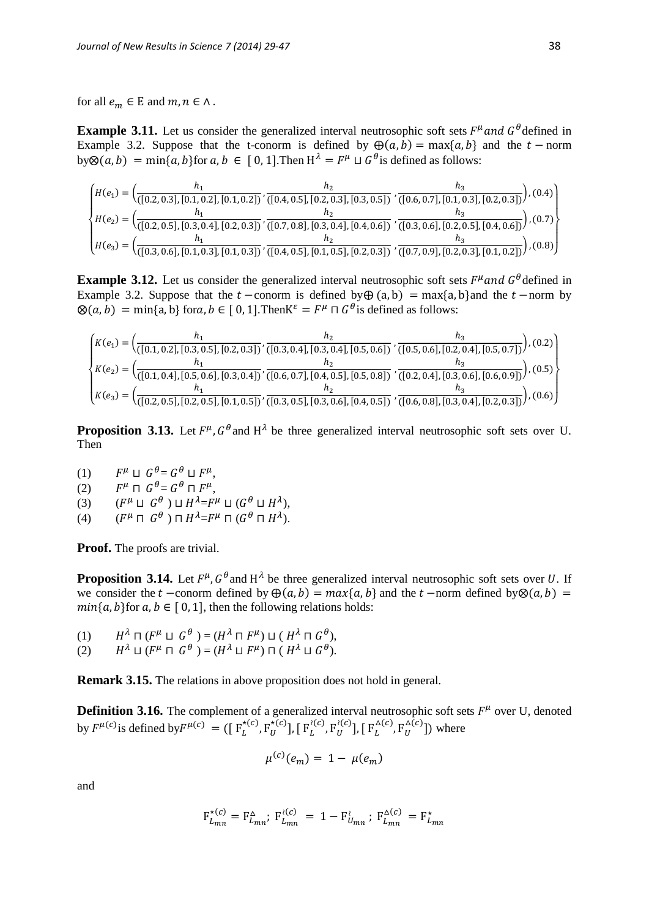for all  $e_m \in E$  and  $m, n \in \Lambda$ .

**Example 3.11.** Let us consider the generalized interval neutrosophic soft sets  $F^{\mu}$  and  $G^{\theta}$  defined in Example 3.2. Suppose that the t-conorm is defined by  $\bigoplus (a, b) = \max\{a, b\}$  and the  $t$  - norm by  $\otimes$   $(a, b)$  = min{ $a, b$ } for  $a, b \in [0, 1]$ . Then  $H^{\lambda} = F^{\mu} \sqcup G^{\theta}$  is defined as follows:

$$
\begin{cases}\nH(e_1) = \left(\frac{h_1}{([0.2, 0.3], [0.1, 0.2], [0.1, 0.2])}, \frac{h_2}{([0.4, 0.5], [0.2, 0.3], [0.3, 0.5])}, \frac{h_3}{([0.6, 0.7], [0.1, 0.3], [0.2, 0.3])}\right), (0.4) \\
H(e_2) = \left(\frac{h_1}{([0.2, 0.5], [0.3, 0.4], [0.2, 0.3])}, \frac{h_2}{([0.7, 0.8], [0.3, 0.4], [0.4, 0.6])}, \frac{h_3}{([0.3, 0.6], [0.2, 0.5], [0.4, 0.6])}\right), (0.7) \\
H(e_3) = \left(\frac{h_1}{([0.3, 0.6], [0.1, 0.3], [0.1, 0.3])}, \frac{h_2}{([0.4, 0.5], [0.1, 0.5], [0.2, 0.3])}, \frac{h_3}{([0.7, 0.9], [0.2, 0.3], [0.1, 0.2])}\right), (0.8)\n\end{cases}
$$

**Example 3.12.** Let us consider the generalized interval neutrosophic soft sets  $F^{\mu}$  and  $G^{\theta}$  defined in Example 3.2. Suppose that the  $t$  -conorm is defined by $\bigoplus$  (a, b) = max{a, b}and the  $t$  -norm by  $\mathcal{D}(a, b) = \min\{a, b\}$  for a,  $b \in [0, 1]$ . Then  $K^{\varepsilon} = F^{\mu} \cap G^{\theta}$  is defined as follows:

$$
\begin{cases}\nK(e_1) = \left(\frac{h_1}{([0.1, 0.2], [0.3, 0.5], [0.2, 0.3])}, \frac{h_2}{([0.3, 0.4], [0.3, 0.4], [0.5, 0.6])}, \frac{h_3}{([0.5, 0.6], [0.2, 0.4], [0.5, 0.7])}\right), (0.2) \\
K(e_2) = \left(\frac{h_1}{([0.1, 0.4], [0.5, 0.6], [0.3, 0.4])}, \frac{h_2}{([0.6, 0.7], [0.4, 0.5], [0.5, 0.8])}, \frac{h_3}{([0.2, 0.4], [0.3, 0.6], [0.6, 0.9])}\right), (0.5) \\
K(e_3) = \left(\frac{h_1}{([0.2, 0.5], [0.2, 0.5], [0.1, 0.5])}, \frac{h_2}{([0.3, 0.5], [0.3, 0.6], [0.4, 0.5])}, \frac{h_3}{([0.6, 0.8], [0.3, 0.4], [0.2, 0.3])}\right), (0.6)\n\end{cases}
$$

**Proposition 3.13.** Let  $F^{\mu}$ ,  $G^{\theta}$  and  $H^{\lambda}$  be three generalized interval neutrosophic soft sets over U. Then

- (1)  $\mu \perp G^{\theta} = G^{\theta} \perp F^{\mu},$
- $(2)$  $\mu \,\sqcap\, G\,{}^\theta\!= G\,{}^\theta \,\sqcap F^\mu,$
- $(3)$  $\mu \sqcup G^{\theta}$  )  $\sqcup H^{\lambda} = F^{\mu} \sqcup (G^{\theta} \sqcup H^{\lambda}),$
- $(4)$  $^{\mu}$  Π  $G^{\theta}$  ) Π  $H^{\lambda}$ = $F^{\mu}$  Π  $(G^{\theta}$  Π  $H^{\lambda})$ .

**Proof.** The proofs are trivial.

**Proposition 3.14.** Let  $F^{\mu}$ ,  $G^{\theta}$  and  $H^{\lambda}$  be three generalized interval neutrosophic soft sets over U. If we consider the  $t$  –conorm defined by  $\bigoplus (a, b) = max\{a, b\}$  and the  $t$  –norm defined by $\otimes (a, b)$  =  $min{a, b}$  for  $a, b \in [0, 1]$ , then the following relations holds:

- (1)  $\lambda \sqcap (F^\mu \sqcup\ G^\theta \>) = (H^\lambda \sqcap F^\mu) \sqcup (\ H^\lambda \sqcap G^\theta),$
- (2)  $\lambda \sqcup (F^{\mu} \sqcap \ G^{\theta}) = (H^{\lambda} \sqcup F^{\mu}) \sqcap (H^{\lambda} \sqcup G^{\theta}).$

**Remark 3.15.** The relations in above proposition does not hold in general.

**Definition 3.16.** The complement of a generalized interval neutrosophic soft sets  $F^{\mu}$  over U, denoted by  $F^{\mu(c)}$  is defined by  $F^{\mu(c)} = (\begin{bmatrix} F_L^{\star(c)}, F_U^{\star(c)} \end{bmatrix}, \begin{bmatrix} F_L^{\lambda(c)}, F_U^{\lambda(c)} \end{bmatrix}, \begin{bmatrix} F_L^{\Delta(c)}, F_U^{\Delta(c)} \end{bmatrix})$  where

$$
\mu^{(c)}(e_m) = 1 - \mu(e_m)
$$

and

$$
F_{L_{mn}}^{\star (c)} = F_{L_{mn}}^{\Delta}; \ F_{L_{mn}}^{\lambda (c)} = 1 - F_{U_{mn}}^{\lambda}; \ F_{L_{mn}}^{\Delta (c)} = F_{L_{mn}}^{\star}
$$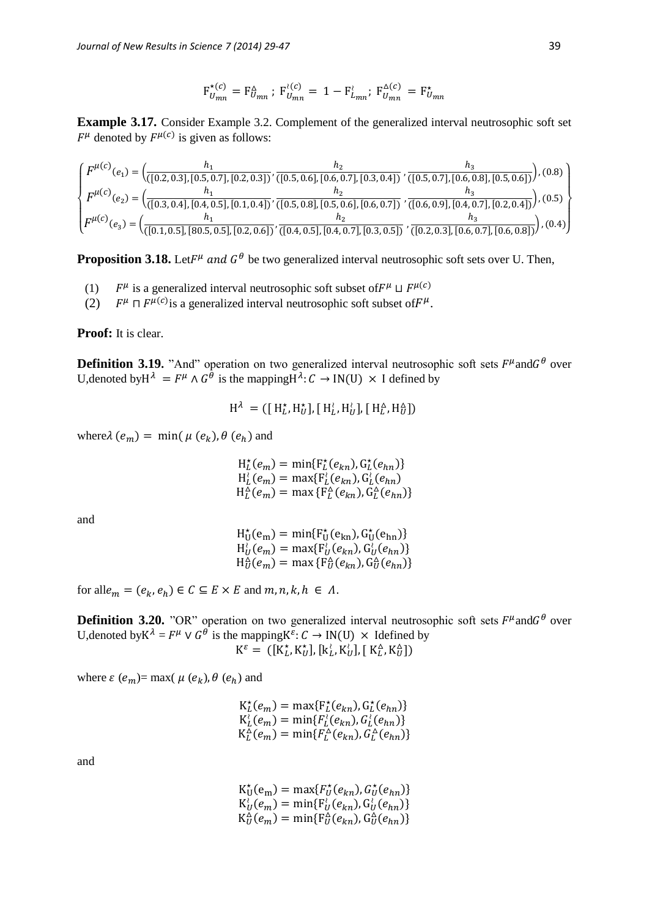$$
F_{U_{mn}}^{\star(c)} = F_{U_{mn}}^{\Delta}; F_{U_{mn}}^{\wr(c)} = 1 - F_{L_{mn}}^{\wr}; F_{U_{mn}}^{\Delta(c)} = F_{U_{mn}}^{\star}
$$

**Example 3.17.** Consider Example 3.2. Complement of the generalized interval neutrosophic soft set  $F^{\mu}$  denoted by  $F^{\mu}(c)$  is given as follows:

$$
\begin{cases}\nF^{\mu(c)}(e_1) = \left(\frac{h_1}{([0.2, 0.3], [0.5, 0.7], [0.2, 0.3])}, \frac{h_2}{([0.5, 0.6], [0.6, 0.7], [0.3, 0.4])}, \frac{h_3}{([0.5, 0.7], [0.6, 0.8], [0.5, 0.6])}\right), (0.8) \\
F^{\mu(c)}(e_2) = \left(\frac{h_1}{([0.3, 0.4], [0.4, 0.5], [0.1, 0.4])}, \frac{h_2}{([0.5, 0.8], [0.5, 0.6], [0.6, 0.7])}, \frac{h_3}{([0.6, 0.9], [0.4, 0.7], [0.2, 0.4])}\right), (0.5) \\
F^{\mu(c)}(e_3) = \left(\frac{h_1}{([0.1, 0.5], [80.5, 0.5], [0.2, 0.6])}, \frac{h_2}{([0.4, 0.5], [0.4, 0.7], [0.3, 0.5])}, \frac{h_3}{([0.2, 0.3], [0.6, 0.7], [0.6, 0.8])}\right), (0.4)\n\end{cases}
$$

**Proposition 3.18.** Let  $F^{\mu}$  and  $G^{\theta}$  be two generalized interval neutrosophic soft sets over U. Then,

- (1) <sup>µ</sup> is a generalized interval neutrosophic soft subset of  $F^{\mu} \sqcup F^{\mu(c)}$
- (2) µ  $\Box$   $F^{\mu(c)}$  is a generalized interval neutrosophic soft subset of  $F^{\mu}$ .

**Proof:** It is clear.

**Definition 3.19.** "And" operation on two generalized interval neutrosophic soft sets  $F^{\mu}$ and $G^{\theta}$  over U, denoted by  $H^{\lambda} = F^{\mu} \wedge G^{\theta}$  is the mapping  $H^{\lambda}: C \to IN(U) \times I$  defined by

$$
\mathrm{H}^{\lambda} = ([\mathrm{H}^{\star}_{L}, \mathrm{H}^{\star}_{U}], [\mathrm{H}^{\lambda}_{L}, \mathrm{H}^{\lambda}_{U}], [\mathrm{H}^{\Delta}_{L}, \mathrm{H}^{\Delta}_{U}])
$$

where  $\lambda$  ( $e_m$ ) = min( $\mu$  ( $e_k$ ),  $\theta$  ( $e_h$ ) and

 $H_L^*(e_m) = \min\{F_L^*(e_{kn}), G_L^*(e_{hn})\}$  $H_L^{\lambda}(e_m) = \max\{F_L^{\lambda}(e_{kn}), G_L^{\lambda}(e_{hn})\}$  $H_L^{\Delta}(e_m) = \max \{ F_L^{\Delta}(e_{kn}), G_L^{\Delta}(e_{hn}) \}$ 

and

$$
H_U^*(e_m) = \min\{F_U^*(e_{kn}), G_U^*(e_{hn})\}
$$
  
\n
$$
H_U^*(e_m) = \max\{F_U^*(e_{kn}), G_U^*(e_{hn})\}
$$
  
\n
$$
H_U^*(e_m) = \max\{F_U^*(e_{kn}), G_U^*(e_{hn})\}
$$

for all  $e_m = (e_k, e_h) \in C \subseteq E \times E$  and  $m, n, k, h \in \Lambda$ .

**Definition 3.20.** "OR" operation on two generalized interval neutrosophic soft sets  $F^{\mu}$ and $G^{\theta}$  over U, denoted by  $K^{\lambda} = F^{\mu} \vee G^{\theta}$  is the mapping  $K^{\varepsilon}: C \to IN(U) \times$  Idefined by  $\mathbf{K}^{\varepsilon} = \left( [\mathbf{K}^{\star}_L, \mathbf{K}^{\star}_U], [\mathbf{k}^{\lambda}_L, \mathbf{K}^{\lambda}_U], [\mathbf{K}^{\Delta}_L, \mathbf{K}^{\Delta}_U] \right)$ 

where  $\varepsilon$  ( $e_m$ )= max(  $\mu$  ( $e_k$ ),  $\theta$  ( $e_h$ ) and

$$
K_L^*(e_m) = \max\{F_L^*(e_{kn}), G_L^*(e_{hn})\}
$$
  
\n
$$
K_L^((e_m) = \min\{F_L^*(e_{kn}), G_L^((e_{hn})\}
$$
  
\n
$$
K_L^{\Delta}(e_m) = \min\{F_L^{\Delta}(e_{kn}), G_L^{\Delta}(e_{hn})\}
$$

and

 $K_U^*(e_m) = \max\{F_U^*(e_{kn}), G_U^*(e_{hn})\}$  ${\rm K}_U^{\lambda}(e_m) = \min\{ {\rm F}_U^{\lambda}(e_{kn}),{\rm G}_U^{\lambda}(e_{hn})\}$  $\mathcal{K}_U^{\Delta}(e_m) = \min\{\mathcal{F}_U^{\Delta}(e_{kn}), \mathcal{G}_U^{\Delta}(e_{hn})\}$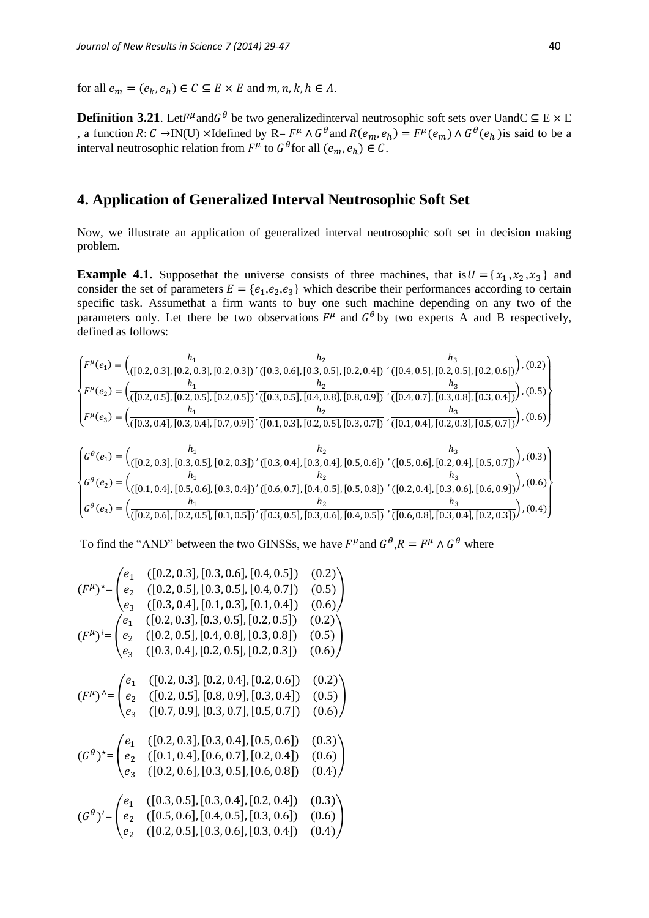for all  $e_m = (e_k, e_h) \in C \subseteq E \times E$  and  $m, n, k, h \in \Lambda$ .

**Definition 3.21**. Let  $F^{\mu}$  and  $G^{\theta}$  be two generalized interval neutrosophic soft sets over Uand C ⊆ E × E , a function R: C →IN(U) ×Idefined by R=  $F^{\mu} \wedge G^{\theta}$  and  $R(e_m, e_h) = F^{\mu}(e_m) \wedge G^{\theta}(e_h)$  is said to be a interval neutrosophic relation from  $F^{\mu}$  to  $G^{\theta}$  for all  $(e_m, e_h) \in C$ .

# **4. Application of Generalized Interval Neutrosophic Soft Set**

Now, we illustrate an application of generalized interval neutrosophic soft set in decision making problem.

**Example 4.1.** Supposethat the universe consists of three machines, that is  $U = \{x_1, x_2, x_3\}$  and consider the set of parameters  $E = \{e_1, e_2, e_3\}$  which describe their performances according to certain specific task. Assumethat a firm wants to buy one such machine depending on any two of the parameters only. Let there be two observations  $F^{\mu}$  and  $G^{\theta}$  by two experts A and B respectively, defined as follows:

$$
\begin{cases}\nF^{\mu}(e_1) = \left(\frac{h_1}{([0.2, 0.3], [0.2, 0.3], [0.2, 0.3])}, \frac{h_2}{([0.3, 0.6], [0.3, 0.5], [0.2, 0.4])}, \frac{h_3}{([0.4, 0.5], [0.2, 0.5], [0.2, 0.6])}\right), (0.2) \\
F^{\mu}(e_2) = \left(\frac{h_1}{([0.2, 0.5], [0.2, 0.5], [0.2, 0.5])}, \frac{h_2}{([0.3, 0.5], [0.4, 0.8], [0.8, 0.9])}, \frac{h_3}{([0.4, 0.7], [0.3, 0.8], [0.3, 0.4])}\right), (0.5) \\
F^{\mu}(e_3) = \left(\frac{h_1}{([0.3, 0.4], [0.3, 0.4], [0.7, 0.9])}, \frac{h_2}{([0.1, 0.3], [0.2, 0.5], [0.3, 0.7])}, \frac{h_3}{([0.1, 0.4], [0.2, 0.3], [0.5, 0.7])}\right), (0.6)\right)\n\begin{cases}\nG^{\theta}(e_1) = \left(\frac{h_1}{([0.2, 0.3], [0.3, 0.5], [0.2, 0.3])}, \frac{h_2}{([0.3, 0.4], [0.5, 0.6])}, \frac{h_3}{([0.5, 0.6], [0.2, 0.4], [0.5, 0.7])}\right), (0.3) \\
G^{\theta}(e_2) = \left(\frac{h_1}{([0.1, 0.4], [0.5, 0.6], [0.3, 0.4])}, \frac{h_2}{([0.6, 0.7], [0.4, 0.5], [0.5, 0.8])}, \frac{h_3}{([0.2, 0.4], [0.3, 0.6], [0.6, 0.9])}\right), (0.6) \\
G^{\theta}(e_3) = \left(\frac{h_1}{([0.2, 0.6], [0.2, 0.5], [0.1, 0.5])}, \frac{h_2}{([0.3, 0.5], [0.4, 0.5], [0.5, 0.8
$$

To find the "AND" between the two GINSSs, we have  $F^{\mu}$  and  $G^{\theta}, R = F^{\mu} \wedge G^{\theta}$  where

$$
(F^{\mu})^* = \begin{pmatrix} e_1 & ([0.2, 0.3], [0.3, 0.6], [0.4, 0.5]) & (0.2) \\ e_2 & ([0.2, 0.5], [0.3, 0.5], [0.4, 0.7]) & (0.5) \\ e_3 & ([0.3, 0.4], [0.1, 0.3], [0.1, 0.4]) & (0.6) \end{pmatrix}
$$
  
\n
$$
(F^{\mu})^2 = \begin{pmatrix} e_1 & ([0.2, 0.3], [0.3, 0.5], [0.2, 0.5]) & (0.2) \\ e_2 & ([0.2, 0.5], [0.4, 0.8], [0.3, 0.8]) & (0.5) \\ e_3 & ([0.3, 0.4], [0.2, 0.5], [0.2, 0.3]) & (0.6) \end{pmatrix}
$$
  
\n
$$
(F^{\mu})^{\Delta} = \begin{pmatrix} e_1 & ([0.2, 0.3], [0.2, 0.4], [0.2, 0.6]) & (0.2) \\ e_2 & ([0.2, 0.5], [0.8, 0.9], [0.3, 0.4]) & (0.5) \\ e_3 & ([0.7, 0.9], [0.3, 0.7], [0.5, 0.7]) & (0.6) \end{pmatrix}
$$
  
\n
$$
(G^{\theta})^* = \begin{pmatrix} e_1 & ([0.2, 0.3], [0.3, 0.4], [0.5, 0.6]) & (0.3) \\ e_2 & ([0.1, 0.4], [0.6, 0.7], [0.2, 0.4]) & (0.6) \\ e_3 & ([0.2, 0.6], [0.3, 0.5], [0.3, 0.4]) & (0.4) \end{pmatrix}
$$
  
\n
$$
(G^{\theta})^2 = \begin{pmatrix} e_1 & ([0.3, 0.5], [0.3, 0.4], [0.2, 0.4]) & (0.3) \\ e_2 & ([0.5, 0.6], [0.4, 0.5], [0.3, 0.6]) & (0.4) \end{pmatrix}
$$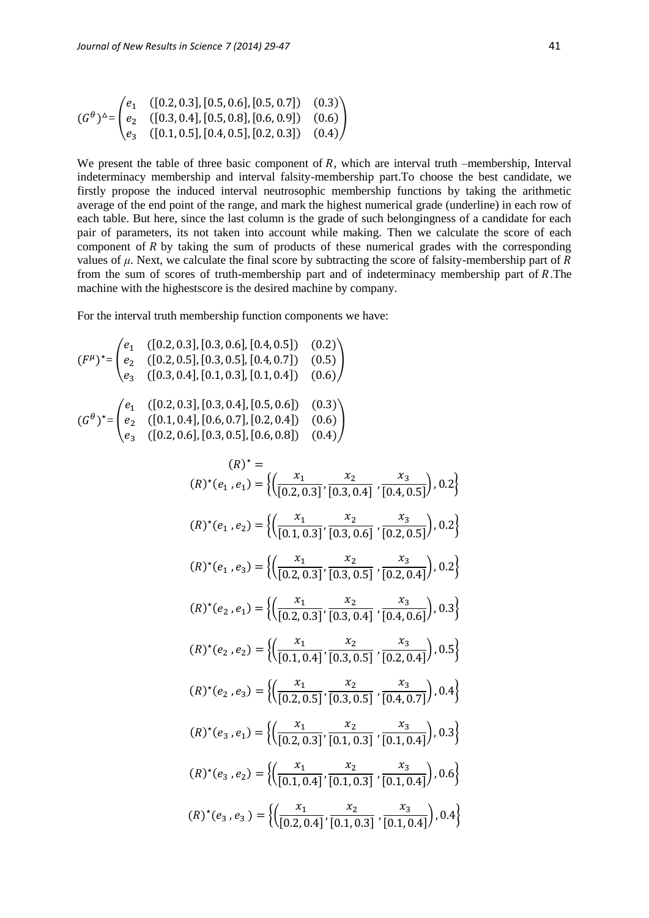$$
(G^{\theta})^{\Delta} = \begin{pmatrix} e_1 & ([0.2, 0.3], [0.5, 0.6], [0.5, 0.7]) & (0.3) \\ e_2 & ([0.3, 0.4], [0.5, 0.8], [0.6, 0.9]) & (0.6) \\ e_3 & ([0.1, 0.5], [0.4, 0.5], [0.2, 0.3]) & (0.4) \end{pmatrix}
$$

We present the table of three basic component of  $R$ , which are interval truth –membership, Interval indeterminacy membership and interval falsity-membership part.To choose the best candidate, we firstly propose the induced interval neutrosophic membership functions by taking the arithmetic average of the end point of the range, and mark the highest numerical grade (underline) in each row of each table. But here, since the last column is the grade of such belongingness of a candidate for each pair of parameters, its not taken into account while making. Then we calculate the score of each component of  $R$  by taking the sum of products of these numerical grades with the corresponding values of  $\mu$ . Next, we calculate the final score by subtracting the score of falsity-membership part of  $R$ from the sum of scores of truth-membership part and of indeterminacy membership part of  $R$ . The machine with the highestscore is the desired machine by company.

For the interval truth membership function components we have:

$$
(F^{\mu})^* = \begin{pmatrix} e_1 & ([0.2, 0.3], [0.3, 0.6], [0.4, 0.5]) & (0.2) \\ e_2 & ([0.2, 0.5], [0.3, 0.5], [0.4, 0.7]) & (0.5) \\ e_3 & ([0.3, 0.4], [0.1, 0.3], [0.1, 0.4]) & (0.6) \end{pmatrix}
$$
  
\n
$$
(G^{\theta})^* = \begin{pmatrix} e_1 & ([0.2, 0.3], [0.3, 0.4], [0.5, 0.6]) & (0.3) \\ e_2 & ([0.1, 0.4], [0.6, 0.7], [0.2, 0.4]) & (0.6) \\ e_3 & ([0.2, 0.6], [0.3, 0.5], [0.6, 0.8]) & (0.4) \end{pmatrix}
$$
  
\n
$$
(R)^* =
$$
  
\n
$$
(R)^*(e_1, e_1) = \left\{ \left( \frac{x_1}{[0.2, 0.3]}, \frac{x_2}{[0.3, 0.4]}, \frac{x_3}{[0.4, 0.5]} \right), 0.2 \right\}
$$
  
\n
$$
(R)^*(e_1, e_2) = \left\{ \left( \frac{x_1}{[0.1, 0.3]}, \frac{x_2}{[0.3, 0.6]}, \frac{x_3}{[0.2, 0.5]} \right), 0.2 \right\}
$$
  
\n
$$
(R)^*(e_2, e_1) = \left\{ \left( \frac{x_1}{[0.2, 0.3]}, \frac{x_2}{[0.3, 0.5]}, \frac{x_3}{[0.2, 0.4]} \right), 0.3 \right\}
$$
  
\n
$$
(R)^*(e_2, e_1) = \left\{ \left( \frac{x_1}{[0.2, 0.3]}, \frac{x_2}{[0.3, 0.4]}, \frac{x_3}{[0.4, 0.6]} \right), 0.3 \right\}
$$
  
\n
$$
(R)^*(e_2, e_2) = \left\{ \left( \frac{x_1}{[0.2, 0.3]}, \frac{x_2}{[0.3, 0.5]}, \frac{x_3}{[0.4, 0.7]} \right), 0.4 \right\}
$$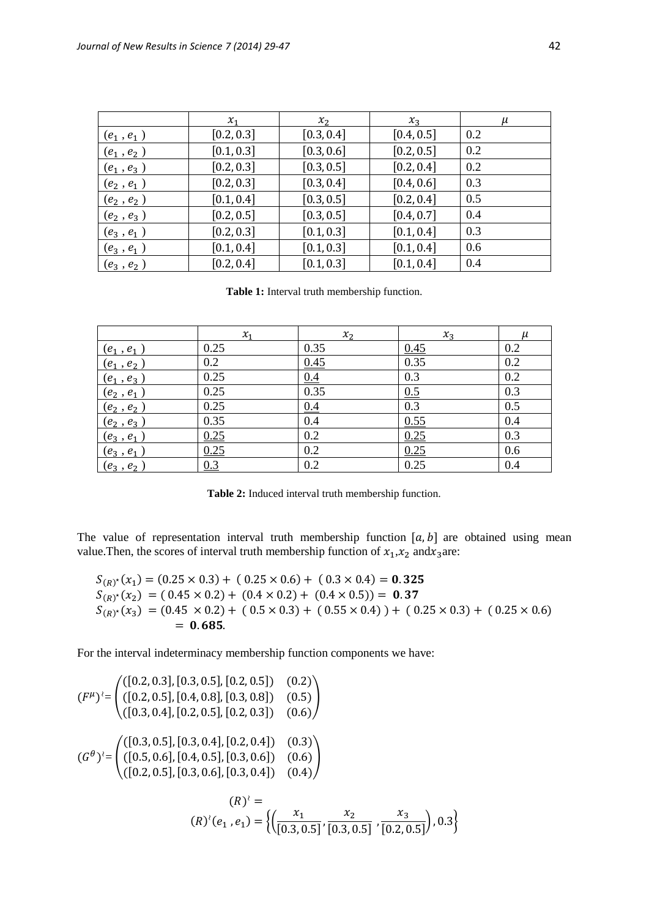|              | $x_1$      | $x_2$      | $x_3$      | μ   |
|--------------|------------|------------|------------|-----|
| $(e_1, e_1)$ | [0.2, 0.3] | [0.3, 0.4] | [0.4, 0.5] | 0.2 |
| $(e_1, e_2)$ | [0.1, 0.3] | [0.3, 0.6] | [0.2, 0.5] | 0.2 |
| $(e_1, e_3)$ | [0.2, 0.3] | [0.3, 0.5] | [0.2, 0.4] | 0.2 |
| $(e_2, e_1)$ | [0.2, 0.3] | [0.3, 0.4] | [0.4, 0.6] | 0.3 |
| $(e_2, e_2)$ | [0.1, 0.4] | [0.3, 0.5] | [0.2, 0.4] | 0.5 |
| $(e_2, e_3)$ | [0.2, 0.5] | [0.3, 0.5] | [0.4, 0.7] | 0.4 |
| $(e_3, e_1)$ | [0.2, 0.3] | [0.1, 0.3] | [0.1, 0.4] | 0.3 |
| $(e_3, e_1)$ | [0.1, 0.4] | [0.1, 0.3] | [0.1, 0.4] | 0.6 |
| $(e_3, e_2)$ | [0.2, 0.4] | [0.1, 0.3] | [0.1, 0.4] | 0.4 |

**Table 1:** Interval truth membership function.

|                                 | $x_1$ | $x_{2}$ | $x_3$ | $\mu$ |
|---------------------------------|-------|---------|-------|-------|
| $(e_1, e_1)$                    | 0.25  | 0.35    | 0.45  | 0.2   |
| $(e_1, e_2)$                    | 0.2   | 0.45    | 0.35  | 0.2   |
| $(e_1, e_3)$                    | 0.25  | 0.4     | 0.3   | 0.2   |
| $\frac{(e_2, e_1)}{(e_2, e_2)}$ | 0.25  | 0.35    | 0.5   | 0.3   |
|                                 | 0.25  | 0.4     | 0.3   | 0.5   |
|                                 | 0.35  | 0.4     | 0.55  | 0.4   |
| $\frac{(e_2, e_3)}{(e_3, e_1)}$ | 0.25  | 0.2     | 0.25  | 0.3   |
| $(e_3, e_1)$                    | 0.25  | 0.2     | 0.25  | 0.6   |
| $(e_3, e_2)$                    | 0.3   | 0.2     | 0.25  | 0.4   |

**Table 2:** Induced interval truth membership function.

The value of representation interval truth membership function  $[a, b]$  are obtained using mean value. Then, the scores of interval truth membership function of  $x_1, x_2$  and  $x_3$  are:

$$
S_{(R)^{*}}(x_1) = (0.25 \times 0.3) + (0.25 \times 0.6) + (0.3 \times 0.4) = 0.325
$$
  
\n
$$
S_{(R)^{*}}(x_2) = (0.45 \times 0.2) + (0.4 \times 0.2) + (0.4 \times 0.5) = 0.37
$$
  
\n
$$
S_{(R)^{*}}(x_3) = (0.45 \times 0.2) + (0.5 \times 0.3) + (0.55 \times 0.4) + (0.25 \times 0.3) + (0.25 \times 0.6)
$$
  
\n= **0.685**.

For the interval indeterminacy membership function components we have:

$$
(F^{\mu})' = \begin{pmatrix} ([0.2, 0.3], [0.3, 0.5], [0.2, 0.5]) & (0.2) \\ ([0.2, 0.5], [0.4, 0.8], [0.3, 0.8]) & (0.5) \\ ([0.3, 0.4], [0.2, 0.5], [0.2, 0.3]) & (0.6) \end{pmatrix}
$$
  

$$
(G^{\theta})' = \begin{pmatrix} ([0.3, 0.5], [0.3, 0.4], [0.2, 0.4]) & (0.3) \\ ([0.5, 0.6], [0.4, 0.5], [0.3, 0.6]) & (0.6) \\ ([0.2, 0.5], [0.3, 0.6], [0.3, 0.4]) & (0.4) \end{pmatrix}
$$
  

$$
(R)^{\lambda} = (R)^{\lambda} (e_1, e_1) = \left\{ \left( \frac{x_1}{[0.3, 0.5]}, \frac{x_2}{[0.3, 0.5]}, \frac{x_3}{[0.2, 0.5]} \right), 0.3 \right\}
$$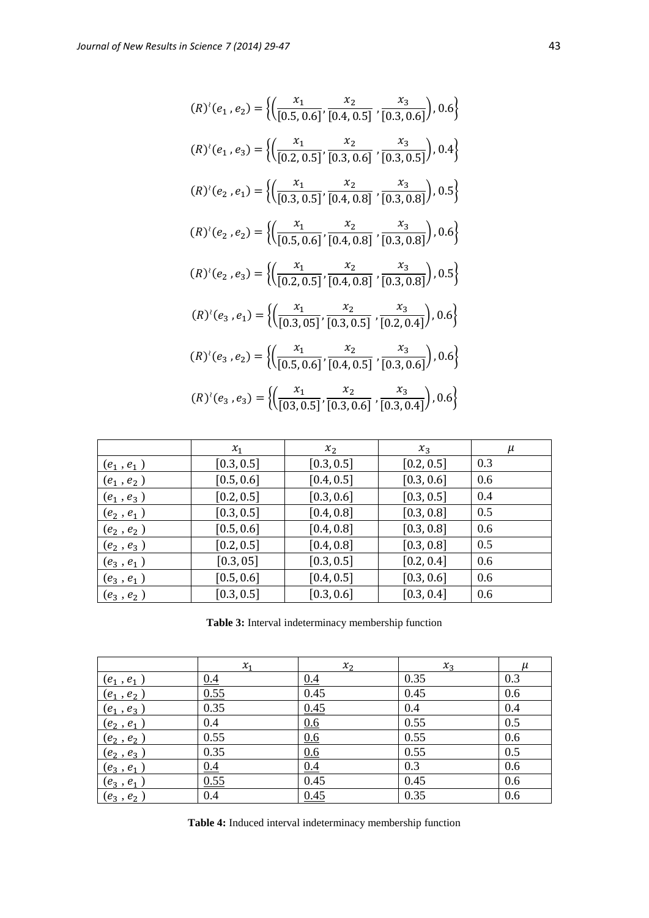$$
(R)^{i}(e_{1},e_{2}) = \left\{ \left( \frac{x_{1}}{[0.5,0.6]}, \frac{x_{2}}{[0.4,0.5]}, \frac{x_{3}}{[0.3,0.6]} \right), 0.6 \right\}
$$
\n
$$
(R)^{i}(e_{1},e_{3}) = \left\{ \left( \frac{x_{1}}{[0.2,0.5]}, \frac{x_{2}}{[0.3,0.6]}, \frac{x_{3}}{[0.3,0.5]} \right), 0.4 \right\}
$$
\n
$$
(R)^{i}(e_{2},e_{1}) = \left\{ \left( \frac{x_{1}}{[0.3,0.5]}, \frac{x_{2}}{[0.4,0.8]}, \frac{x_{3}}{[0.3,0.8]} \right), 0.5 \right\}
$$
\n
$$
(R)^{i}(e_{2},e_{2}) = \left\{ \left( \frac{x_{1}}{[0.5,0.6]}, \frac{x_{2}}{[0.4,0.8]}, \frac{x_{3}}{[0.3,0.8]} \right), 0.6 \right\}
$$
\n
$$
(R)^{i}(e_{2},e_{3}) = \left\{ \left( \frac{x_{1}}{[0.2,0.5]}, \frac{x_{2}}{[0.4,0.8]}, \frac{x_{3}}{[0.3,0.8]} \right), 0.5 \right\}
$$
\n
$$
(R)^{i}(e_{3},e_{1}) = \left\{ \left( \frac{x_{1}}{[0.2,0.5]}, \frac{x_{2}}{[0.4,0.8]}, \frac{x_{3}}{[0.2,0.4]} \right), 0.6 \right\}
$$
\n
$$
(R)^{i}(e_{3},e_{2}) = \left\{ \left( \frac{x_{1}}{[0.5,0.6]}, \frac{x_{2}}{[0.4,0.5]}, \frac{x_{3}}{[0.2,0.4]} \right), 0.6 \right\}
$$
\n
$$
(R)^{i}(e_{3},e_{2}) = \left\{ \left( \frac{x_{1}}{[0.5,0.6]}, \frac{x_{2}}{[0.4,0.5]}, \frac{x_{3}}{[0.3,0.6]} \right), 0.6 \right\}
$$
\n
$$
(R)^{i}(e_{3},e_{3}) = \left\{ \left( \frac{x_{1}}{[0.5,0.6]}, \frac{x_{2}}{[0.
$$

|              | $x_1$      | $x_{2}$    | $x_3$      | $\mu$ |
|--------------|------------|------------|------------|-------|
| $(e_1, e_1)$ | [0.3, 0.5] | [0.3, 0.5] | [0.2, 0.5] | 0.3   |
| $(e_1, e_2)$ | [0.5, 0.6] | [0.4, 0.5] | [0.3, 0.6] | 0.6   |
| $(e_1, e_3)$ | [0.2, 0.5] | [0.3, 0.6] | [0.3, 0.5] | 0.4   |
| $(e_2, e_1)$ | [0.3, 0.5] | [0.4, 0.8] | [0.3, 0.8] | 0.5   |
| $(e_2, e_2)$ | [0.5, 0.6] | [0.4, 0.8] | [0.3, 0.8] | 0.6   |
| $(e_2, e_3)$ | [0.2, 0.5] | [0.4, 0.8] | [0.3, 0.8] | 0.5   |
| $(e_3, e_1)$ | [0.3, 05]  | [0.3, 0.5] | [0.2, 0.4] | 0.6   |
| $(e_3, e_1)$ | [0.5, 0.6] | [0.4, 0.5] | [0.3, 0.6] | 0.6   |
| $(e_3, e_2)$ | [0.3, 0.5] | [0.3, 0.6] | [0.3, 0.4] | 0.6   |

**Table 3:** Interval indeterminacy membership function

|                                                                    | $x_1$ | $x_2$ | $x_3$ | и   |
|--------------------------------------------------------------------|-------|-------|-------|-----|
| $(e_1, e_1)$                                                       | 0.4   | 0.4   | 0.35  | 0.3 |
| $(e_1, e_2)$                                                       | 0.55  | 0.45  | 0.45  | 0.6 |
|                                                                    | 0.35  | 0.45  | 0.4   | 0.4 |
| $\frac{(e_1, e_3)}{(e_2, e_1)}$                                    | 0.4   | 0.6   | 0.55  | 0.5 |
|                                                                    | 0.55  | 0.6   | 0.55  | 0.6 |
|                                                                    | 0.35  | 0.6   | 0.55  | 0.5 |
| $\frac{(e_2, e_2)}{(e_2, e_3)}$<br>$\frac{(e_3, e_1)}{(e_3, e_1)}$ | 0.4   | 0.4   | 0.3   | 0.6 |
| $(e_3, e_1)$                                                       | 0.55  | 0.45  | 0.45  | 0.6 |
| $(e_3, e_2)$                                                       | 0.4   | 0.45  | 0.35  | 0.6 |

**Table 4:** Induced interval indeterminacy membership function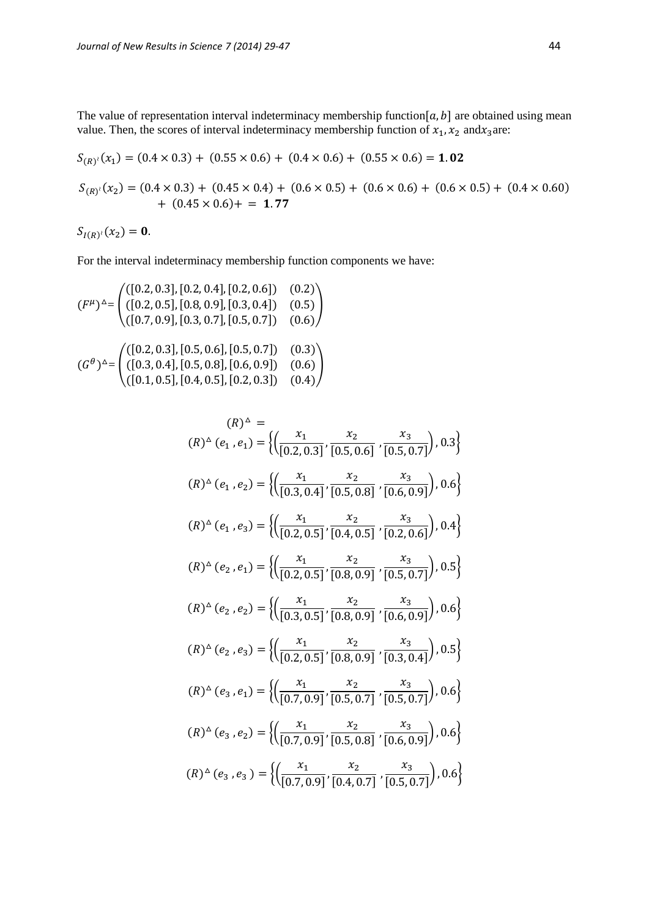The value of representation interval indeterminacy membership function $[a, b]$  are obtained using mean value. Then, the scores of interval indeterminacy membership function of  $x_1$ ,  $x_2$  and  $x_3$  are:

$$
S_{(R)^{i}}(x_1) = (0.4 \times 0.3) + (0.55 \times 0.6) + (0.4 \times 0.6) + (0.55 \times 0.6) = 1.02
$$
  

$$
S_{(R)^{i}}(x_2) = (0.4 \times 0.3) + (0.45 \times 0.4) + (0.6 \times 0.5) + (0.6 \times 0.6) + (0.6 \times 0.5) + (0.4 \times 0.60) + (0.45 \times 0.6) + = 1.77
$$

$$
S_{I(R)^i}(x_2)=\mathbf{0}.
$$

For the interval indeterminacy membership function components we have:

$$
(F^{\mu})^{\Delta} = \begin{pmatrix} ([0.2, 0.3], [0.2, 0.4], [0.2, 0.6]) & (0.2) \\ ([0.2, 0.5], [0.8, 0.9], [0.3, 0.4]) & (0.5) \\ ([0.7, 0.9], [0.3, 0.7], [0.5, 0.7]) & (0.6) \end{pmatrix}
$$

$$
(G^{\theta})^{\Delta} = \begin{pmatrix} ([0.2, 0.3], [0.5, 0.6], [0.5, 0.7]) & (0.3) \\ ([0.3, 0.4], [0.5, 0.8], [0.6, 0.9]) & (0.6) \\ ([0.1, 0.5], [0.4, 0.5], [0.2, 0.3]) & (0.4) \end{pmatrix}
$$

$$
(R)^{\Delta} = (R)^{\Delta} (e_1, e_1) = \left\{ \left( \frac{x_1}{[0.2, 0.3]}, \frac{x_2}{[0.5, 0.6]}, \frac{x_3}{[0.5, 0.7]} \right), 0.3 \right\}
$$
  
\n
$$
(R)^{\Delta} (e_1, e_2) = \left\{ \left( \frac{x_1}{[0.3, 0.4]}, \frac{x_2}{[0.5, 0.8]}, \frac{x_3}{[0.6, 0.9]} \right), 0.6 \right\}
$$
  
\n
$$
(R)^{\Delta} (e_1, e_3) = \left\{ \left( \frac{x_1}{[0.2, 0.5]}, \frac{x_2}{[0.4, 0.5]}, \frac{x_3}{[0.2, 0.6]} \right), 0.4 \right\}
$$
  
\n
$$
(R)^{\Delta} (e_2, e_1) = \left\{ \left( \frac{x_1}{[0.2, 0.5]}, \frac{x_2}{[0.8, 0.9]}, \frac{x_3}{[0.5, 0.7]} \right), 0.5 \right\}
$$
  
\n
$$
(R)^{\Delta} (e_2, e_2) = \left\{ \left( \frac{x_1}{[0.3, 0.5]}, \frac{x_2}{[0.8, 0.9]}, \frac{x_3}{[0.5, 0.7]} \right), 0.6 \right\}
$$
  
\n
$$
(R)^{\Delta} (e_2, e_3) = \left\{ \left( \frac{x_1}{[0.2, 0.5]}, \frac{x_2}{[0.8, 0.9]}, \frac{x_3}{[0.5, 0.7]} \right), 0.5 \right\}
$$
  
\n
$$
(R)^{\Delta} (e_3, e_1) = \left\{ \left( \frac{x_1}{[0.7, 0.9]}, \frac{x_2}{[0.5, 0.7]}, \frac{x_3}{[0.5, 0.7]} \right), 0.6 \right\}
$$
  
\n
$$
(R)^{\Delta} (e_3, e_2) = \left\{ \left( \frac{x_1}{[0.7, 0.9]}, \frac{x_2}{[0.5, 0.8]}, \frac{x_3}{[0.6, 0.9]} \right), 0.6 \right\}
$$
  
\n
$$
(R)^{\Delta} (e_3, e_3) = \
$$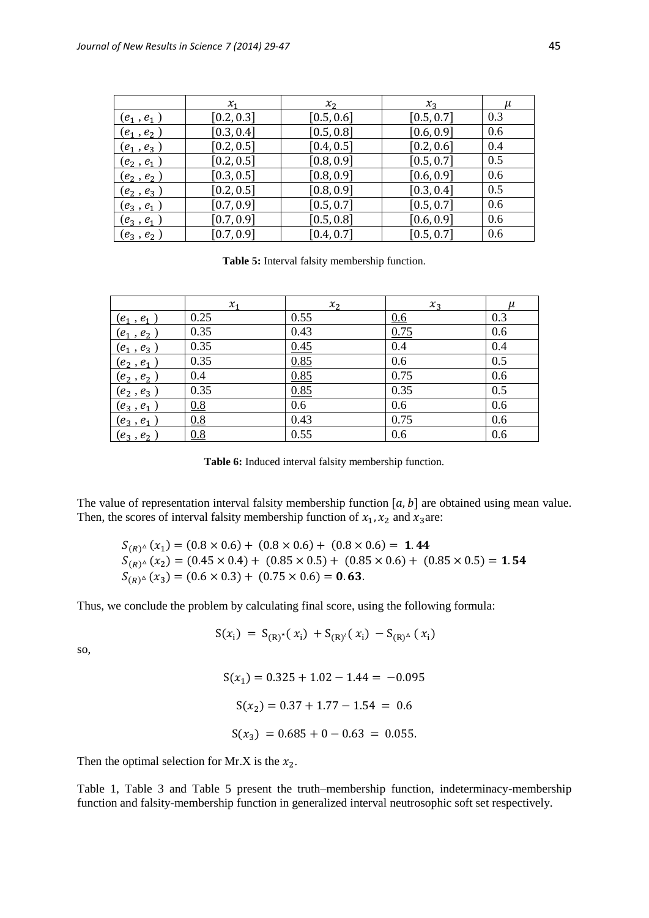|                                       | $\mathcal{X}_1$ | $\mathcal{X}_2$ | $x_3$      |     |
|---------------------------------------|-----------------|-----------------|------------|-----|
| $(e_1, e_1)$                          | [0.2, 0.3]      | [0.5, 0.6]      | [0.5, 0.7] | 0.3 |
| $(e_1^{\phantom '},e_2^{\phantom '})$ | [0.3, 0.4]      | [0.5, 0.8]      | [0.6, 0.9] | 0.6 |
| $(e_1, e_3)$                          | [0.2, 0.5]      | [0.4, 0.5]      | [0.2, 0.6] | 0.4 |
| $(e_2, e_1)$                          | [0.2, 0.5]      | [0.8, 0.9]      | [0.5, 0.7] | 0.5 |
| $\left( e_{2}\,,\,e_{2}\,\right)$     | [0.3, 0.5]      | [0.8, 0.9]      | [0.6, 0.9] | 0.6 |
| $(e_2, e_3)$                          | [0.2, 0.5]      | [0.8, 0.9]      | [0.3, 0.4] | 0.5 |
| $(e_3, e_1)$                          | [0.7, 0.9]      | [0.5, 0.7]      | [0.5, 0.7] | 0.6 |
| $(e_3, e_1)$                          | [0.7, 0.9]      | [0.5, 0.8]      | [0.6, 0.9] | 0.6 |
| $(e_3, e_2)$                          | [0.7, 0.9]      | [0.4, 0.7]      | [0.5, 0.7] | 0.6 |

**Table 5:** Interval falsity membership function.

|                              | $x_1$ | $x_2$ | $x_3$            | $\mu$ |
|------------------------------|-------|-------|------------------|-------|
| $(\pmb{e_1}$ , $\pmb{e_1}$ ) | 0.25  | 0.55  | 0.6              | 0.3   |
| $(e_1, e_2)$                 | 0.35  | 0.43  | 0.75             | 0.6   |
| $(e_1, e_3)$                 | 0.35  | 0.45  | $\overline{0.4}$ | 0.4   |
| $(e_2, e_1)$                 | 0.35  | 0.85  | 0.6              | 0.5   |
| $(e_2, e_2)$                 | 0.4   | 0.85  | 0.75             | 0.6   |
| $(e_2, e_3)$                 | 0.35  | 0.85  | 0.35             | 0.5   |
| $(e_3, e_1)$                 | 0.8   | 0.6   | 0.6              | 0.6   |
| $(e_3, e_1)$                 | 0.8   | 0.43  | 0.75             | 0.6   |
| $(e_3, e_2)$                 | 0.8   | 0.55  | 0.6              | 0.6   |

**Table 6:** Induced interval falsity membership function.

The value of representation interval falsity membership function  $[a, b]$  are obtained using mean value. Then, the scores of interval falsity membership function of  $x_1, x_2$  and  $x_3$  are:

$$
S_{(R)^{\Delta}}(x_1) = (0.8 \times 0.6) + (0.8 \times 0.6) + (0.8 \times 0.6) = 1.44
$$
  
\n
$$
S_{(R)^{\Delta}}(x_2) = (0.45 \times 0.4) + (0.85 \times 0.5) + (0.85 \times 0.6) + (0.85 \times 0.5) = 1.54
$$
  
\n
$$
S_{(R)^{\Delta}}(x_3) = (0.6 \times 0.3) + (0.75 \times 0.6) = 0.63.
$$

Thus, we conclude the problem by calculating final score, using the following formula:

$$
S(x_i) = S_{(R)^*}(x_i) + S_{(R)^i}(x_i) - S_{(R)^{\Delta}}(x_i)
$$

so,

$$
S(x_1) = 0.325 + 1.02 - 1.44 = -0.095
$$
  

$$
S(x_2) = 0.37 + 1.77 - 1.54 = 0.6
$$
  

$$
S(x_3) = 0.685 + 0 - 0.63 = 0.055.
$$

Then the optimal selection for Mr.X is the  $x_2$ .

Table 1, Table 3 and Table 5 present the truth–membership function, indeterminacy-membership function and falsity-membership function in generalized interval neutrosophic soft set respectively.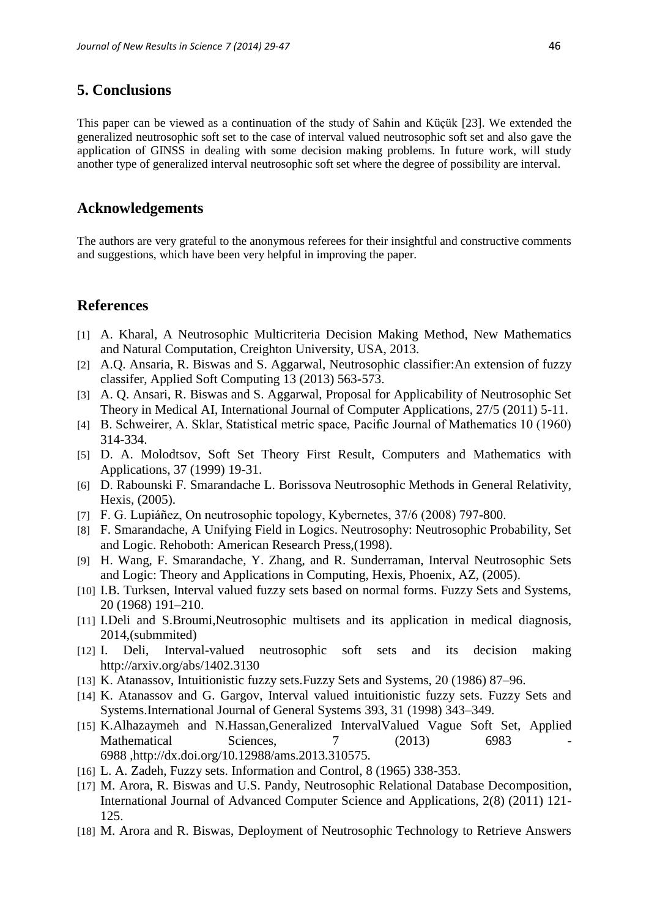## **5. Conclusions**

This paper can be viewed as a continuation of the study of Sahin and Küçük [23]. We extended the generalized neutrosophic soft set to the case of interval valued neutrosophic soft set and also gave the application of GINSS in dealing with some decision making problems. In future work, will study another type of generalized interval neutrosophic soft set where the degree of possibility are interval.

## **Acknowledgements**

The authors are very grateful to the anonymous referees for their insightful and constructive comments and suggestions, which have been very helpful in improving the paper.

# **References**

- [1] A. Kharal, A Neutrosophic Multicriteria Decision Making Method, New Mathematics and Natural Computation, Creighton University, USA, 2013.
- [2] A.Q. Ansaria, R. Biswas and S. Aggarwal, Neutrosophic classifier:An extension of fuzzy classifer, Applied Soft Computing 13 (2013) 563-573.
- [3] A. Q. Ansari, R. Biswas and S. Aggarwal, Proposal for Applicability of Neutrosophic Set Theory in Medical AI, International Journal of Computer Applications, 27/5 (2011) 5-11.
- [4] B. Schweirer, A. Sklar, Statistical metric space, Pacific Journal of Mathematics 10 (1960) 314-334.
- [5] D. A. Molodtsov, Soft Set Theory First Result, Computers and Mathematics with Applications, 37 (1999) 19-31.
- [6] D. Rabounski F. Smarandache L. Borissova Neutrosophic Methods in General Relativity, Hexis, (2005).
- [7] F. G. Lupiáñez, On neutrosophic topology, Kybernetes, 37/6 (2008) 797-800.
- [8] F. Smarandache, A Unifying Field in Logics. Neutrosophy: Neutrosophic Probability, Set and Logic. Rehoboth: American Research Press,(1998).
- [9] H. Wang, F. Smarandache, Y. Zhang, and R. Sunderraman, Interval Neutrosophic Sets and Logic: Theory and Applications in Computing, Hexis, Phoenix, AZ, (2005).
- [10] I.B. Turksen, Interval valued fuzzy sets based on normal forms. Fuzzy Sets and Systems, 20 (1968) 191–210.
- [11] I.Deli and S.Broumi, Neutrosophic multisets and its application in medical diagnosis, 2014,(submmited)
- [12] I. Deli, Interval-valued neutrosophic soft sets and its decision making http://arxiv.org/abs/1402.3130
- [13] K. Atanassov, Intuitionistic fuzzy sets.Fuzzy Sets and Systems, 20 (1986) 87–96.
- [14] K. Atanassov and G. Gargov, Interval valued intuitionistic fuzzy sets. Fuzzy Sets and Systems.International Journal of General Systems 393, 31 (1998) 343–349.
- [15] K.Alhazaymeh and N.Hassan,Generalized IntervalValued Vague Soft Set, Applied Mathematical Sciences, 7 (2013) 6983 6988 ,http://dx.doi.org/10.12988/ams.2013.310575.
- [16] L. A. Zadeh, Fuzzy sets. Information and Control, 8 (1965) 338-353.
- [17] M. Arora, R. Biswas and U.S. Pandy, Neutrosophic Relational Database Decomposition, International Journal of Advanced Computer Science and Applications, 2(8) (2011) 121- 125.
- [18] M. Arora and R. Biswas, Deployment of Neutrosophic Technology to Retrieve Answers